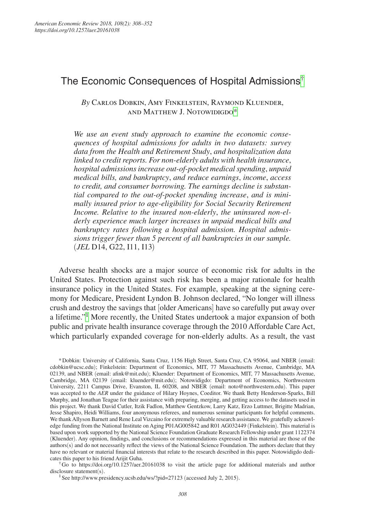# The Economic Consequences of Hospital Admissions[†](#page-0-0)

*By* Carlos Dobkin, Amy Finkelstein, Raymond Kluender, and Matthew J. Notowidigd[o\\*](#page-0-1)

*We use an event study approach to examine the economic consequences of hospital admissions for adults in two datasets: survey data from the Health and Retirement Study*, *and hospitalization data linked to credit reports. For non-elderly adults with health insurance*, *hospital admissions increase out-of-pocket medical spending*, *unpaid medical bills, and bankruptcy*, *and reduce earnings*, *income*, *access to credit, and consumer borrowing. The earnings decline is substantial compared to the out-of-pocket spending increase*, *and is minimally insured prior to age-eligibility for Social Security Retirement Income. Relative to the insured non-elderly*, *the uninsured non-elderly experience much larger increases in unpaid medical bills and bankruptcy rates following a hospital admission. Hospital admissions trigger fewer than 5 percent of all bankruptcies in our sample.*  (*JEL* D14, G22, I11, I13)

Adverse health shocks are a major source of economic risk for adults in the United States. Protection against such risk has been a major rationale for health insurance policy in the United States. For example, speaking at the signing ceremony for Medicare, President Lyndon B. Johnson declared, "No longer will illness crush and destroy the savings that [older Americans] have so carefully put away over a lifetime."[1](#page-0-2) More recently, the United States undertook a major expansion of both public and private health insurance coverage through the 2010 Affordable Care Act, which particularly expanded coverage for non-elderly adults. As a result, the vast

<span id="page-0-1"></span>\*Dobkin: University of California, Santa Cruz, 1156 High Street, Santa Cruz, CA 95064, and NBER (email: [cdobkin@ucsc.edu](mailto:cdobkin@ucsc.edu)); Finkelstein: Department of Economics, MIT, 77 Massachusetts Avenue, Cambridge, MA 02139, and NBER (email: [afink@mit.edu](mailto:afink@mit.edu)); Kluender: Department of Economics, MIT, 77 Massachusetts Avenue, Cambridge, MA 02139 (email: [kluender@mit.edu](mailto:kluender@mit.edu)); Notowidigdo: Department of Economics, Northwestern University, 2211 Campus Drive, Evanston, IL 60208, and NBER (email: [noto@northwestern.edu](mailto:noto@northwestern.edu)). This paper was accepted to the *AER* under the guidance of Hilary Hoynes, Coeditor. We thank Betty Henderson-Sparks, Bill Murphy, and Jonathan Teague for their assistance with preparing, merging, and getting access to the datasets used in this project. We thank David Cutler, Itzik Fadlon, Matthew Gentzkow, Larry Katz, Erzo Luttmer, Brigitte Madrian, Jesse Shapiro, Heidi Williams, four anonymous referees, and numerous seminar participants for helpful comments. We thank Allyson Barnett and Rene Leal Vizcaino for extremely valuable research assistance. We gratefully acknowledge funding from the National Institute on Aging P01AG005842 and R01 AG032449 (Finkelstein). This material is based upon work supported by the National Science Foundation Graduate Research Fellowship under grant 1122374 (Kluender). Any opinion, findings, and conclusions or recommendations expressed in this material are those of the authors(s) and do not necessarily reflect the views of the National Science Foundation. The authors declare that they have no relevant or material financial interests that relate to the research described in this paper. Notowidigdo dedicates this paper to his friend Arijit Guha.

<span id="page-0-0"></span>†Go to <https://doi.org/10.1257/aer.20161038>to visit the article page for additional materials and author disclosure statement(s).

<span id="page-0-2"></span><sup>1</sup> See <http://www.presidency.ucsb.edu/ws/?pid=27123> (accessed July 2, 2015).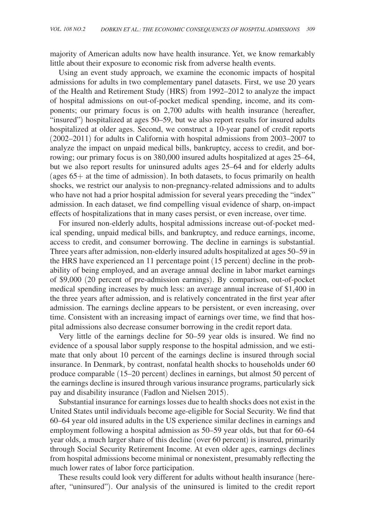majority of American adults now have health insurance. Yet, we know remarkably little about their exposure to economic risk from adverse health events.

Using an event study approach, we examine the economic impacts of hospital admissions for adults in two complementary panel datasets. First, we use 20 years of the Health and Retirement Study (HRS) from 1992–2012 to analyze the impact of hospital admissions on out-of-pocket medical spending, income, and its components; our primary focus is on 2,700 adults with health insurance (hereafter, "insured") hospitalized at ages 50–59, but we also report results for insured adults hospitalized at older ages. Second, we construct a 10-year panel of credit reports (2002–2011) for adults in California with hospital admissions from 2003–2007 to analyze the impact on unpaid medical bills, bankruptcy, access to credit, and borrowing; our primary focus is on 380,000 insured adults hospitalized at ages 25–64, but we also report results for uninsured adults ages 25–64 and for elderly adults (ages 65+ at the time of admission). In both datasets, to focus primarily on health shocks, we restrict our analysis to non-pregnancy-related admissions and to adults who have not had a prior hospital admission for several years preceding the "index" admission. In each dataset, we find compelling visual evidence of sharp, on-impact effects of hospitalizations that in many cases persist, or even increase, over time.

For insured non-elderly adults, hospital admissions increase out-of-pocket medical spending, unpaid medical bills, and bankruptcy, and reduce earnings, income, access to credit, and consumer borrowing. The decline in earnings is substantial. Three years after admission, non-elderly insured adults hospitalized at ages 50–59 in the HRS have experienced an 11 percentage point (15 percent) decline in the probability of being employed, and an average annual decline in labor market earnings of \$9,000 (20 percent of pre-admission earnings). By comparison, out-of-pocket medical spending increases by much less: an average annual increase of \$1,400 in the three years after admission, and is relatively concentrated in the first year after admission. The earnings decline appears to be persistent, or even increasing, over time. Consistent with an increasing impact of earnings over time, we find that hospital admissions also decrease consumer borrowing in the credit report data.

Very little of the earnings decline for 50–59 year olds is insured. We find no evidence of a spousal labor supply response to the hospital admission, and we estimate that only about 10 percent of the earnings decline is insured through social insurance. In Denmark, by contrast, nonfatal health shocks to households under 60 produce comparable (15–20 percent) declines in earnings, but almost 50 percent of the earnings decline is insured through various insurance programs, particularly sick pay and disability insurance (Fadlon and Nielsen 2015).

Substantial insurance for earnings losses due to health shocks does not exist in the United States until individuals become age-eligible for Social Security. We find that 60–64 year old insured adults in the US experience similar declines in earnings and employment following a hospital admission as 50–59 year olds, but that for 60–64 year olds, a much larger share of this decline (over 60 percent) is insured, primarily through Social Security Retirement Income. At even older ages, earnings declines from hospital admissions become minimal or nonexistent, presumably reflecting the much lower rates of labor force participation.

These results could look very different for adults without health insurance (hereafter, "uninsured"). Our analysis of the uninsured is limited to the credit report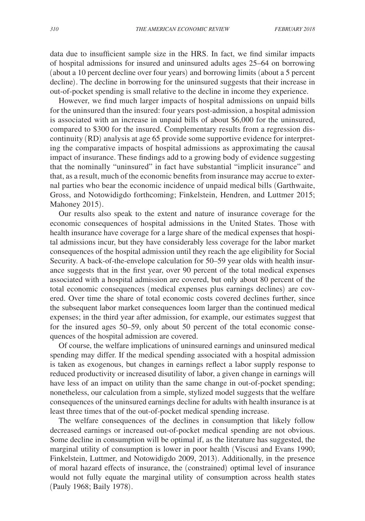data due to insufficient sample size in the HRS. In fact, we find similar impacts of hospital admissions for insured and uninsured adults ages 25–64 on borrowing (about a 10 percent decline over four years) and borrowing limits (about a 5 percent decline). The decline in borrowing for the uninsured suggests that their increase in out-of-pocket spending is small relative to the decline in income they experience.

However, we find much larger impacts of hospital admissions on unpaid bills for the uninsured than the insured: four years post-admission, a hospital admission is associated with an increase in unpaid bills of about \$6,000 for the uninsured, compared to \$300 for the insured. Complementary results from a regression discontinuity (RD) analysis at age 65 provide some supportive evidence for interpreting the comparative impacts of hospital admissions as approximating the causal impact of insurance. These findings add to a growing body of evidence suggesting that the nominally "uninsured" in fact have substantial "implicit insurance" and that, as a result, much of the economic benefits from insurance may accrue to external parties who bear the economic incidence of unpaid medical bills (Garthwaite, Gross, and Notowidigdo forthcoming; Finkelstein, Hendren, and Luttmer 2015; Mahoney 2015).

Our results also speak to the extent and nature of insurance coverage for the economic consequences of hospital admissions in the United States. Those with health insurance have coverage for a large share of the medical expenses that hospital admissions incur, but they have considerably less coverage for the labor market consequences of the hospital admission until they reach the age eligibility for Social Security. A back-of-the-envelope calculation for 50–59 year olds with health insurance suggests that in the first year, over 90 percent of the total medical expenses associated with a hospital admission are covered, but only about 80 percent of the total economic consequences (medical expenses plus earnings declines) are covered. Over time the share of total economic costs covered declines further, since the subsequent labor market consequences loom larger than the continued medical expenses; in the third year after admission, for example, our estimates suggest that for the insured ages 50–59, only about 50 percent of the total economic consequences of the hospital admission are covered.

Of course, the welfare implications of uninsured earnings and uninsured medical spending may differ. If the medical spending associated with a hospital admission is taken as exogenous, but changes in earnings reflect a labor supply response to reduced productivity or increased disutility of labor, a given change in earnings will have less of an impact on utility than the same change in out-of-pocket spending; nonetheless, our calculation from a simple, stylized model suggests that the welfare consequences of the uninsured earnings decline for adults with health insurance is at least three times that of the out-of-pocket medical spending increase.

The welfare consequences of the declines in consumption that likely follow decreased earnings or increased out-of-pocket medical spending are not obvious. Some decline in consumption will be optimal if, as the literature has suggested, the marginal utility of consumption is lower in poor health (Viscusi and Evans 1990; Finkelstein, Luttmer, and Notowidigdo 2009, 2013). Additionally, in the presence of moral hazard effects of insurance, the (constrained) optimal level of insurance would not fully equate the marginal utility of consumption across health states (Pauly 1968; Baily 1978).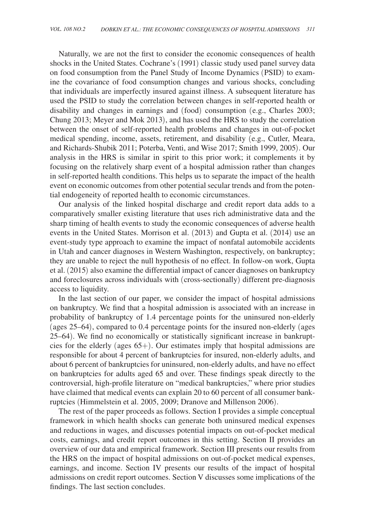Naturally, we are not the first to consider the economic consequences of health shocks in the United States. Cochrane's (1991) classic study used panel survey data on food consumption from the Panel Study of Income Dynamics (PSID) to examine the covariance of food consumption changes and various shocks, concluding that individuals are imperfectly insured against illness. A subsequent literature has used the PSID to study the correlation between changes in self-reported health or disability and changes in earnings and (food) consumption (e.g., Charles 2003; Chung 2013; Meyer and Mok 2013), and has used the HRS to study the correlation between the onset of self-reported health problems and changes in out-of-pocket medical spending, income, assets, retirement, and disability (e.g., Cutler, Meara, and Richards-Shubik 2011; Poterba, Venti, and Wise 2017; Smith 1999, 2005). Our analysis in the HRS is similar in spirit to this prior work; it complements it by focusing on the relatively sharp event of a hospital admission rather than changes in self-reported health conditions. This helps us to separate the impact of the health event on economic outcomes from other potential secular trends and from the potential endogeneity of reported health to economic circumstances.

Our analysis of the linked hospital discharge and credit report data adds to a comparatively smaller existing literature that uses rich administrative data and the sharp timing of health events to study the economic consequences of adverse health events in the United States. Morrison et al. (2013) and Gupta et al. (2014) use an event-study type approach to examine the impact of nonfatal automobile accidents in Utah and cancer diagnoses in Western Washington, respectively, on bankruptcy; they are unable to reject the null hypothesis of no effect. In follow-on work, Gupta et al. (2015) also examine the differential impact of cancer diagnoses on bankruptcy and foreclosures across individuals with (cross-sectionally) different pre-diagnosis access to liquidity.

In the last section of our paper, we consider the impact of hospital admissions on bankruptcy. We find that a hospital admission is associated with an increase in probability of bankruptcy of 1.4 percentage points for the uninsured non-elderly (ages 25–64), compared to 0.4 percentage points for the insured non-elderly (ages 25–64). We find no economically or statistically significant increase in bankruptcies for the elderly (ages 65+). Our estimates imply that hospital admissions are responsible for about 4 percent of bankruptcies for insured, non-elderly adults, and about 6 percent of bankruptcies for uninsured, non-elderly adults, and have no effect on bankruptcies for adults aged 65 and over. These findings speak directly to the controversial, high-profile literature on "medical bankruptcies," where prior studies have claimed that medical events can explain 20 to 60 percent of all consumer bankruptcies (Himmelstein et al. 2005, 2009; Dranove and Millenson 2006).

The rest of the paper proceeds as follows. Section I provides a simple conceptual framework in which health shocks can generate both uninsured medical expenses and reductions in wages, and discusses potential impacts on out-of-pocket medical costs, earnings, and credit report outcomes in this setting. Section II provides an overview of our data and empirical framework. Section III presents our results from the HRS on the impact of hospital admissions on out-of-pocket medical expenses, earnings, and income. Section IV presents our results of the impact of hospital admissions on credit report outcomes. Section V discusses some implications of the findings. The last section concludes.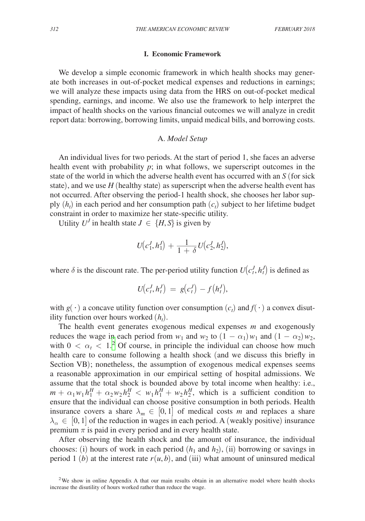#### **I. Economic Framework**

We develop a simple economic framework in which health shocks may generate both increases in out-of-pocket medical expenses and reductions in earnings; we will analyze these impacts using data from the HRS on out-of-pocket medical spending, earnings, and income. We also use the framework to help interpret the impact of health shocks on the various financial outcomes we will analyze in credit report data: borrowing, borrowing limits, unpaid medical bills, and borrowing costs.

## A. *Model Setup*

An individual lives for two periods. At the start of period 1, she faces an adverse health event with probability *p*; in what follows, we superscript outcomes in the state of the world in which the adverse health event has occurred with an *S* (for sick state), and we use *H* (healthy state) as superscript when the adverse health event has not occurred. After observing the period-1 health shock, she chooses her labor supply  $(h_t)$  in each period and her consumption path  $(c_t)$  subject to her lifetime budget constraint in order to maximize her state-specific utility.

Utility  $U^J$  in health state  $J \in \{H, S\}$  is given by

$$
U\big(c_1^J, h_1^J\big) \,+\,\frac{1}{1 \,+\,\delta}\,U\big(c_2^J, h_2^J\big),
$$

where  $\delta$  is the discount rate. The per-period utility function  $U(c_t^J, h_t^J)$  is defined as

$$
U(c_t^J,h_t^J)\ =\ g(c_t^J)\ -f\big(h_t^J\big),
$$

with  $g(\cdot)$  a concave utility function over consumption  $(c_t)$  and  $f(\cdot)$  a convex disutility function over hours worked  $(h_t)$ .

The health event generates exogenous medical expenses *m* and exogenously reduces the wage in each period from  $w_1$  and  $w_2$  to  $(1 - \alpha_1) w_1$  and  $(1 - \alpha_2) w_2$ , with  $0 < \alpha_t < 1$ <sup>[2](#page-4-0)</sup> Of course, in principle the individual can choose how much health care to consume following a health shock (and we discuss this briefly in Section VB); nonetheless, the assumption of exogenous medical expenses seems a reasonable approximation in our empirical setting of hospital admissions. We assume that the total shock is bounded above by total income when healthy: i.e.,  $m + \alpha_1 w_1 h_1^H + \alpha_2 w_2 h_2^H < w_1 h_1^H + w_2 h_2^H$ , which is a sufficient condition to ensure that the individual can choose positive consumption in both periods. Health insurance covers a share  $\lambda_m \in [0, 1]$  of medical costs *m* and replaces a share  $\lambda_{\alpha} \in [0, 1]$  of the reduction in wages in each period. A (weakly positive) insurance premium  $\pi$  is paid in every period and in every health state.

After observing the health shock and the amount of insurance, the individual chooses: (i) hours of work in each period  $(h_1 \text{ and } h_2)$ , (ii) borrowing or savings in period 1 (*b*) at the interest rate  $r(u, b)$ , and (iii) what amount of uninsured medical

<span id="page-4-0"></span><sup>&</sup>lt;sup>2</sup>We show in online Appendix A that our main results obtain in an alternative model where health shocks increase the disutility of hours worked rather than reduce the wage.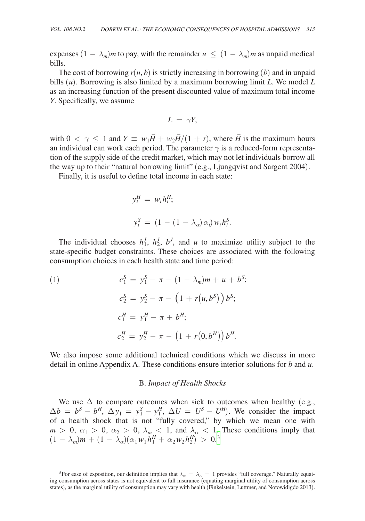expenses  $(1 - \lambda_m)m$  to pay, with the remainder  $u \le (1 - \lambda_m)m$  as unpaid medical bills.

The cost of borrowing  $r(u, b)$  is strictly increasing in borrowing (*b*) and in unpaid bills (*u*). Borrowing is also limited by a maximum borrowing limit *L*. We model *L* as an increasing function of the present discounted value of maximum total income *Y*. Specifically, we assume

$$
L = \gamma Y,
$$

with  $0 < \gamma \leq 1$  and  $Y \equiv w_1 \overline{H} + w_2 \overline{H}/(1 + r)$ , where  $\overline{H}$  is the maximum hours an individual can work each period. The parameter  $\gamma$  is a reduced-form representation of the supply side of the credit market, which may not let individuals borrow all the way up to their "natural borrowing limit" (e.g., Ljungqvist and Sargent 2004).

Finally, it is useful to define total income in each state:

$$
y_t^H = w_t h_t^H;
$$
  

$$
y_t^S = (1 - (1 - \lambda_\alpha) \alpha_t) w_t h_t^S.
$$

The individual chooses  $h_1^J$ ,  $h_2^J$ ,  $b^J$ , and *u* to maximize utility subject to the state-specific budget constraints. These choices are associated with the following consumption choices in each health state and time period:

(1)  
\n
$$
c_1^S = y_1^S - \pi - (1 - \lambda_m)m + u + b^S;
$$
\n
$$
c_2^S = y_2^S - \pi - (1 + r(u, b^S)) b^S;
$$
\n
$$
c_1^H = y_1^H - \pi + b^H;
$$
\n
$$
c_2^H = y_2^H - \pi - (1 + r(0, b^H)) b^H.
$$

We also impose some additional technical conditions which we discuss in more detail in online Appendix A. These conditions ensure interior solutions for *b* and *u*.

#### B. *Impact of Health Shocks*

We use  $\Delta$  to compare outcomes when sick to outcomes when healthy (e.g.,  $\Delta b = b^S - b^H$ ,  $\Delta y_1 = y_1^S - y_1^H$ ,  $\Delta U = U^S - U^H$ ). We consider the impact of a health shock that is not "fully covered," by which we mean one with  $m > 0$ ,  $\alpha_1 > 0$ ,  $\alpha_2 > 0$ ,  $\lambda_m < 1$ , and  $\lambda_\alpha < 1$ . These conditions imply that  $(1 - \lambda_m)m + (1 - \lambda_\alpha)(\alpha_1 w_1 h_1^H + \alpha_2 w_2 h_2^H) > 0.3$  $(1 - \lambda_m)m + (1 - \lambda_\alpha)(\alpha_1 w_1 h_1^H + \alpha_2 w_2 h_2^H) > 0.3$ 

<span id="page-5-0"></span><sup>&</sup>lt;sup>3</sup>For ease of exposition, our definition implies that  $\lambda_m = \lambda_\alpha = 1$  provides "full coverage." Naturally equating consumption across states is not equivalent to full insurance (equating marginal utility of consumption across states), as the marginal utility of consumption may vary with health (Finkelstein, Luttmer, and Notowidigdo 2013).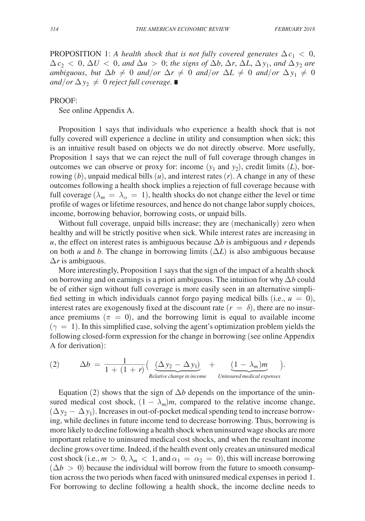PROPOSITION 1: *A health shock that is not fully covered generates*  $\Delta c_1 < 0$ ,  $\Delta c_2 < 0$ ,  $\Delta U < 0$ , and  $\Delta u > 0$ ; the signs of  $\Delta b$ ,  $\Delta r$ ,  $\Delta L$ ,  $\Delta y_1$ , and  $\Delta y_2$  are *ambiguous, but*  $\Delta b \neq 0$  *and/or*  $\Delta r \neq 0$  *and/or*  $\Delta L \neq 0$  *and/or*  $\Delta y_1 \neq 0$ *and*/*or*  $\Delta y_2 \neq 0$  *reject full coverage.* ■

# PROOF:

See online Appendix A.

Proposition 1 says that individuals who experience a health shock that is not fully covered will experience a decline in utility and consumption when sick; this is an intuitive result based on objects we do not directly observe. More usefully, Proposition 1 says that we can reject the null of full coverage through changes in outcomes we can observe or proxy for: income  $(y_1$  and  $y_2)$ , credit limits  $(L)$ , borrowing (*b*), unpaid medical bills (*u*), and interest rates (*r*). A change in any of these outcomes following a health shock implies a rejection of full coverage because with full coverage ( $\lambda_m = \lambda_\alpha = 1$ ), health shocks do not change either the level or time profile of wages or lifetime resources, and hence do not change labor supply choices, income, borrowing behavior, borrowing costs, or unpaid bills.

Without full coverage, unpaid bills increase; they are (mechanically) zero when healthy and will be strictly positive when sick. While interest rates are increasing in *u*, the effect on interest rates is ambiguous because  $\Delta b$  is ambiguous and *r* depends on both *u* and *b*. The change in borrowing limits  $(\Delta L)$  is also ambiguous because Δ*r* is ambiguous.

More interestingly, Proposition 1 says that the sign of the impact of a health shock on borrowing and on earnings is a priori ambiguous. The intuition for why Δ*b* could be of either sign without full coverage is more easily seen in an alternative simplified setting in which individuals cannot forgo paying medical bills (i.e.,  $u = 0$ ), interest rates are exogenously fixed at the discount rate  $(r = \delta)$ , there are no insurance premiums ( $\pi = 0$ ), and the borrowing limit is equal to available income  $(\gamma = 1)$ . In this simplified case, solving the agent's optimization problem yields the following closed-form expression for the change in borrowing (see online Appendix A for derivation):

A for derivation):  
\n(2) 
$$
\Delta b = \frac{1}{1 + (1 + r)} \Big( \underbrace{(\Delta y_2 - \Delta y_1)}_{Relative \, change \, in \, income} + \underbrace{(1 - \lambda_m)m}_{Uninsured \, medical \, expenses} \Big).
$$

Equation (2) shows that the sign of  $\Delta b$  depends on the importance of the uninsured medical cost shock,  $(1 - \lambda_m)m$ , compared to the relative income change,  $(\Delta y_2 - \Delta y_1)$ . Increases in out-of-pocket medical spending tend to increase borrowing, while declines in future income tend to decrease borrowing. Thus, borrowing is more likely to decline following a health shock when uninsured wage shocks are more important relative to uninsured medical cost shocks, and when the resultant income decline grows over time. Indeed, if the health event only creates an uninsured medical cost shock (i.e.,  $m > 0$ ,  $\lambda_m < 1$ , and  $\alpha_1 = \alpha_2 = 0$ ), this will increase borrowing  $(\Delta b > 0)$  because the individual will borrow from the future to smooth consumption across the two periods when faced with uninsured medical expenses in period 1. For borrowing to decline following a health shock, the income decline needs to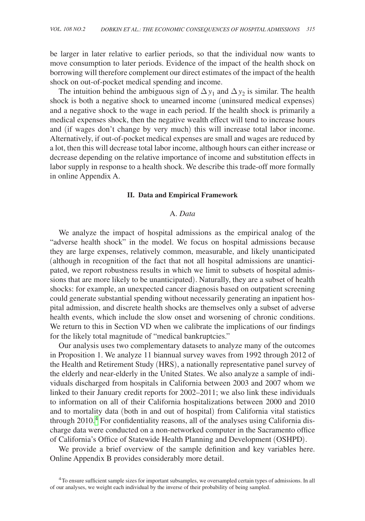be larger in later relative to earlier periods, so that the individual now wants to move consumption to later periods. Evidence of the impact of the health shock on borrowing will therefore complement our direct estimates of the impact of the health shock on out-of-pocket medical spending and income.

The intuition behind the ambiguous sign of  $\Delta y_1$  and  $\Delta y_2$  is similar. The health shock is both a negative shock to unearned income (uninsured medical expenses) and a negative shock to the wage in each period. If the health shock is primarily a medical expenses shock, then the negative wealth effect will tend to increase hours and (if wages don't change by very much) this will increase total labor income. Alternatively, if out-of-pocket medical expenses are small and wages are reduced by a lot, then this will decrease total labor income, although hours can either increase or decrease depending on the relative importance of income and substitution effects in labor supply in response to a health shock. We describe this trade-off more formally in online Appendix A.

## **II. Data and Empirical Framework**

# A. *Data*

We analyze the impact of hospital admissions as the empirical analog of the "adverse health shock" in the model. We focus on hospital admissions because they are large expenses, relatively common, measurable, and likely unanticipated (although in recognition of the fact that not all hospital admissions are unanticipated, we report robustness results in which we limit to subsets of hospital admissions that are more likely to be unanticipated). Naturally, they are a subset of health shocks: for example, an unexpected cancer diagnosis based on outpatient screening could generate substantial spending without necessarily generating an inpatient hospital admission, and discrete health shocks are themselves only a subset of adverse health events, which include the slow onset and worsening of chronic conditions. We return to this in Section VD when we calibrate the implications of our findings for the likely total magnitude of "medical bankruptcies."

Our analysis uses two complementary datasets to analyze many of the outcomes in Proposition 1. We analyze 11 biannual survey waves from 1992 through 2012 of the Health and Retirement Study (HRS), a nationally representative panel survey of the elderly and near-elderly in the United States. We also analyze a sample of individuals discharged from hospitals in California between 2003 and 2007 whom we linked to their January credit reports for 2002–2011; we also link these individuals to information on all of their California hospitalizations between 2000 and 2010 and to mortality data (both in and out of hospital) from California vital statistics through 2010.<sup>[4](#page-7-0)</sup> For confidentiality reasons, all of the analyses using California discharge data were conducted on a non-networked computer in the Sacramento office of California's Office of Statewide Health Planning and Development (OSHPD).

We provide a brief overview of the sample definition and key variables here. Online Appendix B provides considerably more detail.

<span id="page-7-0"></span><sup>4</sup>To ensure sufficient sample sizes for important subsamples, we oversampled certain types of admissions. In all of our analyses, we weight each individual by the inverse of their probability of being sampled.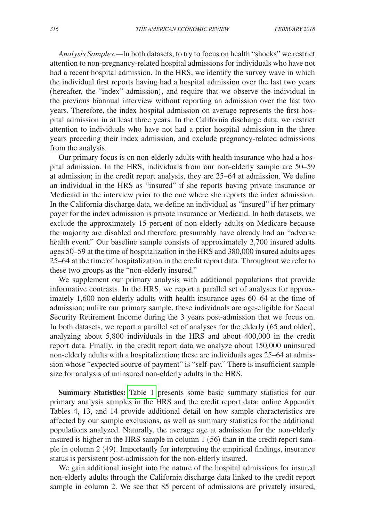*Analysis Samples.—*In both datasets, to try to focus on health "shocks" we restrict attention to non-pregnancy-related hospital admissions for individuals who have not had a recent hospital admission. In the HRS, we identify the survey wave in which the individual first reports having had a hospital admission over the last two years (hereafter, the "index" admission), and require that we observe the individual in the previous biannual interview without reporting an admission over the last two years. Therefore, the index hospital admission on average represents the first hospital admission in at least three years. In the California discharge data, we restrict attention to individuals who have not had a prior hospital admission in the three years preceding their index admission, and exclude pregnancy-related admissions from the analysis.

Our primary focus is on non-elderly adults with health insurance who had a hospital admission. In the HRS, individuals from our non-elderly sample are 50–59 at admission; in the credit report analysis, they are 25–64 at admission. We define an individual in the HRS as "insured" if she reports having private insurance or Medicaid in the interview prior to the one where she reports the index admission. In the California discharge data, we define an individual as "insured" if her primary payer for the index admission is private insurance or Medicaid. In both datasets, we exclude the approximately 15 percent of non-elderly adults on Medicare because the majority are disabled and therefore presumably have already had an "adverse health event." Our baseline sample consists of approximately 2,700 insured adults ages 50–59 at the time of hospitalization in the HRS and 380,000 insured adults ages 25–64 at the time of hospitalization in the credit report data. Throughout we refer to these two groups as the "non-elderly insured."

We supplement our primary analysis with additional populations that provide informative contrasts. In the HRS, we report a parallel set of analyses for approximately 1,600 non-elderly adults with health insurance ages 60–64 at the time of admission; unlike our primary sample, these individuals are age-eligible for Social Security Retirement Income during the 3 years post-admission that we focus on. In both datasets, we report a parallel set of analyses for the elderly (65 and older), analyzing about 5,800 individuals in the HRS and about 400,000 in the credit report data. Finally, in the credit report data we analyze about 150,000 uninsured non-elderly adults with a hospitalization; these are individuals ages 25–64 at admission whose "expected source of payment" is "self-pay." There is insufficient sample size for analysis of uninsured non-elderly adults in the HRS.

**Summary Statistics:** [Table 1](#page-9-0) presents some basic summary statistics for our primary analysis samples in the HRS and the credit report data; online Appendix Tables 4, 13, and 14 provide additional detail on how sample characteristics are affected by our sample exclusions, as well as summary statistics for the additional populations analyzed. Naturally, the average age at admission for the non-elderly insured is higher in the HRS sample in column 1 (56) than in the credit report sample in column 2 (49). Importantly for interpreting the empirical findings, insurance status is persistent post-admission for the non-elderly insured.

We gain additional insight into the nature of the hospital admissions for insured non-elderly adults through the California discharge data linked to the credit report sample in column 2. We see that 85 percent of admissions are privately insured,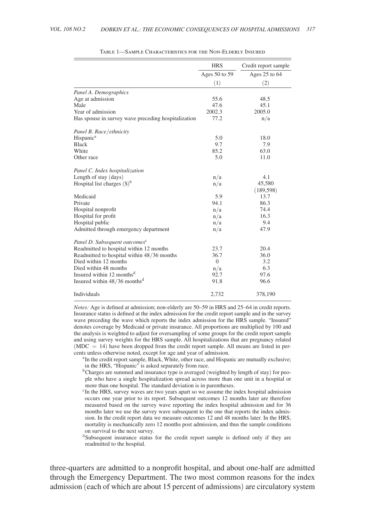<span id="page-9-0"></span>

|                                                     | <b>HRS</b>    | Credit report sample |
|-----------------------------------------------------|---------------|----------------------|
|                                                     | Ages 50 to 59 | Ages 25 to 64        |
|                                                     | (1)           | (2)                  |
| Panel A. Demographics                               |               |                      |
| Age at admission                                    | 55.6          | 48.5                 |
| Male                                                | 47.6          | 45.1                 |
| Year of admission                                   | 2002.3        | 2005.0               |
| Has spouse in survey wave preceding hospitalization | 77.2          | n/a                  |
| Panel B. Race/ethnicity                             |               |                      |
| Hispanic <sup>a</sup>                               | 5.0           | 18.0                 |
| <b>Black</b>                                        | 9.7           | 7.9                  |
| White                                               | 85.2          | 63.0                 |
| Other race                                          | 5.0           | 11.0                 |
| Panel C. Index hospitalization                      |               |                      |
| Length of stay (days)                               | n/a           | 4.1                  |
| Hospital list charges $(\$)^b$                      | n/a           | 45,580               |
|                                                     |               | (189, 598)           |
| Medicaid                                            | 5.9           | 13.7                 |
| Private                                             | 94.1          | 86.3                 |
| Hospital nonprofit                                  | n/a           | 74.4                 |
| Hospital for profit                                 | n/a           | 16.3                 |
| Hospital public                                     | n/a           | 9.4                  |
| Admitted through emergency department               | n/a           | 47.9                 |
| Panel D. Subsequent outcomes <sup>c</sup>           |               |                      |
| Readmitted to hospital within 12 months             | 23.7          | 20.4                 |
| Readmitted to hospital within 48/36 months          | 36.7          | 36.0                 |
| Died within 12 months                               | $\Omega$      | 3.2                  |
| Died within 48 months                               | n/a           | 6.3                  |
| Insured within 12 months <sup>d</sup>               | 92.7          | 97.6                 |
| Insured within $48/36$ months <sup>d</sup>          | 91.8          | 96.6                 |
| <b>Individuals</b>                                  | 2,732         | 378,190              |

Table 1—Sample Characteristics for the Non-Elderly Insured

*Notes:* Age is defined at admission; non-elderly are 50–59 in HRS and 25–64 in credit reports. Insurance status is defined at the index admission for the credit report sample and in the survey wave preceding the wave which reports the index admission for the HRS sample. "Insured" denotes coverage by Medicaid or private insurance. All proportions are multiplied by 100 and the analysis is weighted to adjust for oversampling of some groups for the credit report sample and using survey weights for the HRS sample. All hospitalizations that are pregnancy related ( $MDC = 14$ ) have been dropped from the credit report sample. All means are listed in per-<br>cents unless otherwise noted, except for age and year of admission.

- <sup>a</sup>In the credit report sample, Black, White, other race, and Hispanic are mutually exclusive; in the HRS, "Hispanic" is asked separately from race.
- <sup>b</sup> Charges are summed and insurance type is averaged (weighted by length of stay) for people who have a single hospitalization spread across more than one unit in a hospital or more than one hospital. The standard deviation is in parentheses.
- <sup>c</sup>In the HRS, survey waves are two years apart so we assume the index hospital admission occurs one year prior to its report. Subsequent outcomes 12 months later are therefore measured based on the survey wave reporting the index hospital admission and for 36 months later we use the survey wave subsequent to the one that reports the index admission. In the credit report data we measure outcomes 12 and 48 months later. In the HRS, mortality is mechanically zero 12 months post admission, and thus the sample conditions on survival to the next survey.

<sup>d</sup>Subsequent insurance status for the credit report sample is defined only if they are readmitted to the hospital.

three-quarters are admitted to a nonprofit hospital, and about one-half are admitted through the Emergency Department. The two most common reasons for the index admission (each of which are about 15 percent of admissions) are circulatory system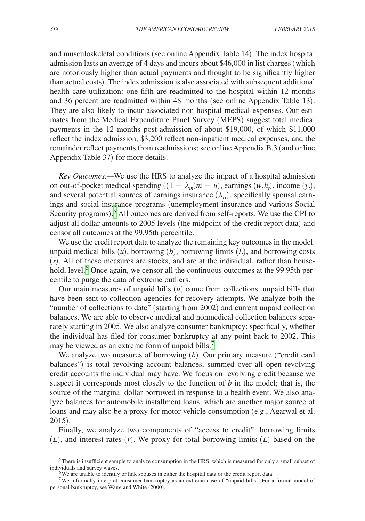and musculoskeletal conditions (see online Appendix Table 14). The index hospital admission lasts an average of 4 days and incurs about \$46,000 in list charges (which are notoriously higher than actual payments and thought to be significantly higher than actual costs). The index admission is also associated with subsequent additional health care utilization: one-fifth are readmitted to the hospital within 12 months and 36 percent are readmitted within 48 months (see online Appendix Table 13). They are also likely to incur associated non-hospital medical expenses. Our estimates from the Medical Expenditure Panel Survey (MEPS) suggest total medical payments in the 12 months post-admission of about \$19,000, of which \$11,000 reflect the index admission, \$3,200 reflect non-inpatient medical expenses, and the remainder reflect payments from readmissions; see online Appendix B.3 (and online Appendix Table 37) for more details.

*Key Outcomes.—*We use the HRS to analyze the impact of a hospital admission on out-of-pocket medical spending  $((1 - \lambda_m)m - u)$ , earnings  $(w_t h_t)$ , income  $(y_t)$ , and several potential sources of earnings insurance  $(\lambda_{\alpha})$ , specifically spousal earnings and social insurance programs (unemployment insurance and various Social Security programs). [5](#page-10-0) All outcomes are derived from self-reports. We use the CPI to adjust all dollar amounts to 2005 levels (the midpoint of the credit report data) and censor all outcomes at the 99.95th percentile.

We use the credit report data to analyze the remaining key outcomes in the model: unpaid medical bills  $(u)$ , borrowing  $(b)$ , borrowing limits  $(L)$ , and borrowing costs (*r*). All of these measures are stocks, and are at the individual, rather than house-hold, level.<sup>[6](#page-10-1)</sup> Once again, we censor all the continuous outcomes at the 99.95th percentile to purge the data of extreme outliers.

Our main measures of unpaid bills (*u*) come from collections: unpaid bills that have been sent to collection agencies for recovery attempts. We analyze both the "number of collections to date" (starting from 2002) and current unpaid collection balances. We are able to observe medical and nonmedical collection balances separately starting in 2005. We also analyze consumer bankruptcy: specifically, whether the individual has filed for consumer bankruptcy at any point back to 2002. This may be viewed as an extreme form of unpaid bills.<sup>[7](#page-10-2)</sup>

We analyze two measures of borrowing (*b*). Our primary measure ("credit card balances") is total revolving account balances, summed over all open revolving credit accounts the individual may have. We focus on revolving credit because we suspect it corresponds most closely to the function of  $b$  in the model; that is, the source of the marginal dollar borrowed in response to a health event. We also analyze balances for automobile installment loans, which are another major source of loans and may also be a proxy for motor vehicle consumption (e.g., Agarwal et al. 2015).

Finally, we analyze two components of "access to credit": borrowing limits (*L*), and interest rates (*r*). We proxy for total borrowing limits (*L*) based on the

<span id="page-10-0"></span><sup>5</sup>There is insufficient sample to analyze consumption in the HRS, which is measured for only a small subset of individuals and survey waves.<br><sup>6</sup>We are unable to identify or link spouses in either the hospital data or the credit report data.

<span id="page-10-2"></span><span id="page-10-1"></span>

<sup>7</sup>We informally interpret consumer bankruptcy as an extreme case of "unpaid bills." For a formal model of personal bankruptcy, see Wang and White (2000).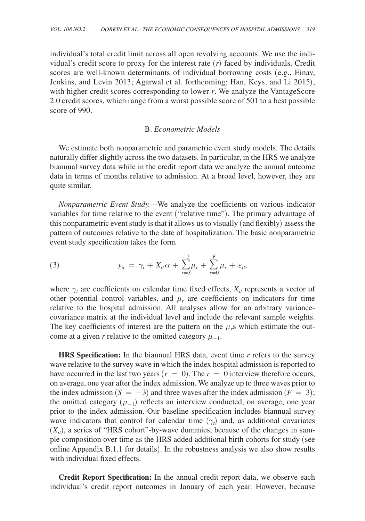individual's total credit limit across all open revolving accounts. We use the individual's credit score to proxy for the interest rate (*r*) faced by individuals. Credit scores are well-known determinants of individual borrowing costs (e.g., Einav, Jenkins, and Levin 2013; Agarwal et al. forthcoming; Han, Keys, and Li 2015), with higher credit scores corresponding to lower *r*. We analyze the VantageScore 2.0 credit scores, which range from a worst possible score of 501 to a best possible score of 990.

# B. *Econometric Models*

We estimate both nonparametric and parametric event study models. The details naturally differ slightly across the two datasets. In particular, in the HRS we analyze biannual survey data while in the credit report data we analyze the annual outcome data in terms of months relative to admission. At a broad level, however, they are quite similar.

*Nonparametric Event Study.—*We analyze the coefficients on various indicator variables for time relative to the event ("relative time"). The primary advantage of this nonparametric event study is that it allows us to visually (and flexibly) assess the pattern of outcomes relative to the date of hospitalization. The basic nonparametric event study specification takes the form

(3) 
$$
y_{it} = \gamma_t + X_{it} \alpha + \sum_{r=S}^{-2} \mu_r + \sum_{r=0}^{F} \mu_r + \varepsilon_{it},
$$

where  $\gamma_t$  are coefficients on calendar time fixed effects,  $X_{it}$  represents a vector of other potential control variables, and  $\mu_r$  are coefficients on indicators for time relative to the hospital admission. All analyses allow for an arbitrary variancecovariance matrix at the individual level and include the relevant sample weights. The key coefficients of interest are the pattern on the  $\mu_r$ s which estimate the outcome at a given *r* relative to the omitted category  $\mu_{-1}$ .

**HRS Specification:** In the biannual HRS data, event time *r* refers to the survey wave relative to the survey wave in which the index hospital admission is reported to have occurred in the last two years  $(r = 0)$ . The  $r = 0$  interview therefore occurs, on average, one year after the index admission. We analyze up to three waves prior to the index admission  $(S = -3)$  and three waves after the index admission  $(F = 3)$ ; the omitted category  $(\mu_{-1})$  reflects an interview conducted, on average, one year prior to the index admission. Our baseline specification includes biannual survey wave indicators that control for calendar time  $(\gamma_t)$  and, as additional covariates  $(X_{it})$ , a series of "HRS cohort"-by-wave dummies, because of the changes in sample composition over time as the HRS added additional birth cohorts for study (see online Appendix B.1.1 for details). In the robustness analysis we also show results with individual fixed effects.

**Credit Report Specification:** In the annual credit report data, we observe each individual's credit report outcomes in January of each year. However, because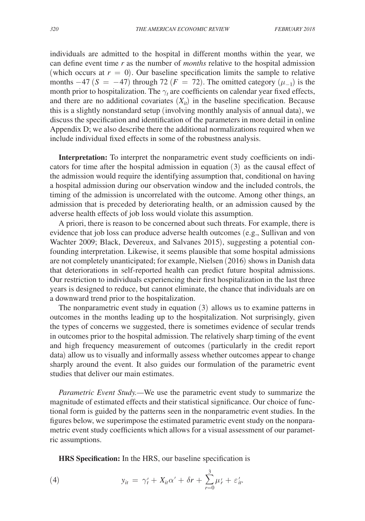individuals are admitted to the hospital in different months within the year, we can define event time *r* as the number of *months* relative to the hospital admission (which occurs at  $r = 0$ ). Our baseline specification limits the sample to relative months  $-47$  (*S* =  $-47$ ) through 72 (*F* = 72). The omitted category ( $\mu_{-1}$ ) is the month prior to hospitalization. The  $\gamma_t$  are coefficients on calendar year fixed effects, and there are no additional covariates  $(X_{it})$  in the baseline specification. Because this is a slightly nonstandard setup (involving monthly analysis of annual data), we discuss the specification and identification of the parameters in more detail in online Appendix D; we also describe there the additional normalizations required when we include individual fixed effects in some of the robustness analysis.

**Interpretation:** To interpret the nonparametric event study coefficients on indicators for time after the hospital admission in equation (3) as the causal effect of the admission would require the identifying assumption that, conditional on having a hospital admission during our observation window and the included controls, the timing of the admission is uncorrelated with the outcome. Among other things, an admission that is preceded by deteriorating health, or an admission caused by the adverse health effects of job loss would violate this assumption.

A priori, there is reason to be concerned about such threats. For example, there is evidence that job loss can produce adverse health outcomes (e.g., Sullivan and von Wachter 2009; Black, Devereux, and Salvanes 2015), suggesting a potential confounding interpretation. Likewise, it seems plausible that some hospital admissions are not completely unanticipated; for example, Nielsen (2016) shows in Danish data that deteriorations in self-reported health can predict future hospital admissions. Our restriction to individuals experiencing their first hospitalization in the last three years is designed to reduce, but cannot eliminate, the chance that individuals are on a downward trend prior to the hospitalization.

The nonparametric event study in equation (3) allows us to examine patterns in outcomes in the months leading up to the hospitalization. Not surprisingly, given the types of concerns we suggested, there is sometimes evidence of secular trends in outcomes prior to the hospital admission. The relatively sharp timing of the event and high frequency measurement of outcomes (particularly in the credit report data) allow us to visually and informally assess whether outcomes appear to change sharply around the event. It also guides our formulation of the parametric event studies that deliver our main estimates.

*Parametric Event Study.*—We use the parametric event study to summarize the magnitude of estimated effects and their statistical significance. Our choice of functional form is guided by the patterns seen in the nonparametric event studies. In the figures below, we superimpose the estimated parametric event study on the nonparametric event study coefficients which allows for a visual assessment of our parametric assumptions.

**HRS Specification:** In the HRS, our baseline specification is

(4) 
$$
y_{it} = \gamma'_t + X_{it}\alpha' + \delta r + \sum_{r=0}^3 \mu'_r + \varepsilon'_{it}.
$$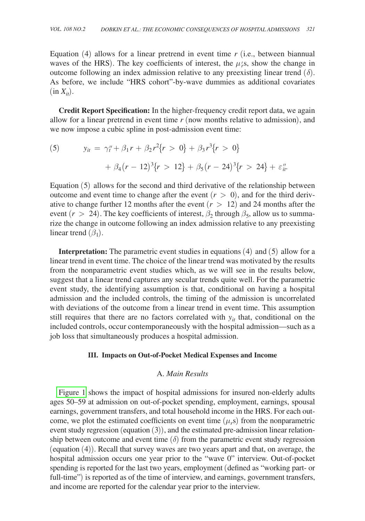Equation  $(4)$  allows for a linear pretrend in event time  $r$  (i.e., between biannual waves of the HRS). The key coefficients of interest, the  $\mu$ <sup>r</sup><sub>i</sub>s, show the change in outcome following an index admission relative to any preexisting linear trend  $(\delta)$ . As before, we include "HRS cohort"-by-wave dummies as additional covariates  $(in X_{it}).$ 

**Credit Report Specification:** In the higher-frequency credit report data, we again allow for a linear pretrend in event time *r* (now months relative to admission), and we now impose a cubic spline in post-admission event time:

(5) 
$$
y_{it} = \gamma''_t + \beta_1 r + \beta_2 r^2 \{r > 0\} + \beta_3 r^3 \{r > 0\} + \beta_4 (r - 12)^3 \{r > 12\} + \beta_5 (r - 24)^3 \{r > 24\} + \varepsilon''_u.
$$

Equation (5) allows for the second and third derivative of the relationship between outcome and event time to change after the event  $(r > 0)$ , and for the third derivative to change further 12 months after the event  $(r > 12)$  and 24 months after the event ( $r > 24$ ). The key coefficients of interest,  $\beta_2$  through  $\beta_5$ , allow us to summarize the change in outcome following an index admission relative to any preexisting linear trend  $(\beta_1)$ .

**Interpretation:** The parametric event studies in equations (4) and (5) allow for a linear trend in event time. The choice of the linear trend was motivated by the results from the nonparametric event studies which, as we will see in the results below, suggest that a linear trend captures any secular trends quite well. For the parametric event study, the identifying assumption is that, conditional on having a hospital admission and the included controls, the timing of the admission is uncorrelated with deviations of the outcome from a linear trend in event time. This assumption still requires that there are no factors correlated with  $y_{it}$  that, conditional on the included controls, occur contemporaneously with the hospital admission—such as a job loss that simultaneously produces a hospital admission.

#### **III. Impacts on Out-of-Pocket Medical Expenses and Income**

## A. *Main Results*

[Figure 1](#page-14-0) shows the impact of hospital admissions for insured non-elderly adults ages 50–59 at admission on out-of-pocket spending, employment, earnings, spousal earnings, government transfers, and total household income in the HRS. For each outcome, we plot the estimated coefficients on event time  $(\mu, s)$  from the nonparametric event study regression (equation (3)), and the estimated pre-admission linear relationship between outcome and event time  $(\delta)$  from the parametric event study regression (equation (4)). Recall that survey waves are two years apart and that, on average, the hospital admission occurs one year prior to the "wave 0" interview. Out-of-pocket spending is reported for the last two years, employment (defined as "working part- or full-time") is reported as of the time of interview, and earnings, government transfers, and income are reported for the calendar year prior to the interview.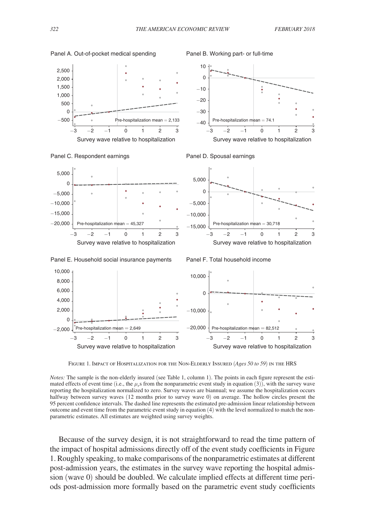

Figure 1. Impact of Hospitalization for the Non-Elderly Insured (*Ages 50 to 59*) in the HRS

*Notes:* The sample is the non-elderly insured (see Table 1, column 1). The points in each figure represent the estimated effects of event time (i.e., the  $\mu_r$ s from the nonparametric event study in equation (3)), with the survey wave reporting the hospitalization normalized to zero. Survey waves are biannual; we assume the hospitalization occurs halfway between survey waves (12 months prior to survey wave 0) on average. The hollow circles present the 95 percent confidence intervals. The dashed line represents the estimated pre-admission linear relationship between outcome and event time from the parametric event study in equation (4) with the level normalized to match the nonparametric estimates. All estimates are weighted using survey weights.

Because of the survey design, it is not straightforward to read the time pattern of the impact of hospital admissions directly off of the event study coefficients in Figure 1. Roughly speaking, to make comparisons of the nonparametric estimates at different post-admission years, the estimates in the survey wave reporting the hospital admission (wave 0) should be doubled. We calculate implied effects at different time periods post-admission more formally based on the parametric event study coefficients

<span id="page-14-0"></span>Panel A. Out-of-pocket medical spending

Panel B. Working part- or full-time

10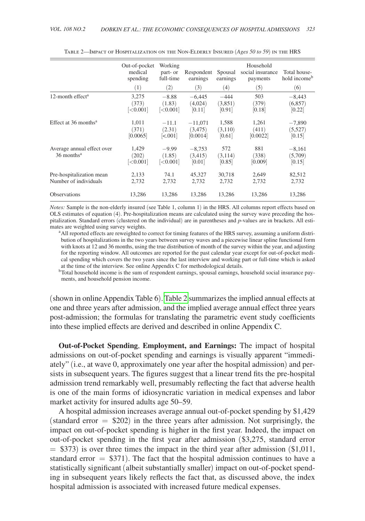|                                                        | Out-of-pocket<br>medical<br>spending<br>(1) | Working<br>part- or<br>full-time<br>(2) | Respondent<br>earnings<br>(3)  | Spousal<br>earnings<br>$\left( 4\right)$ | Household<br>social insurance<br>payments<br>(5) | Total house-<br>hold income <sup>b</sup><br>(6) |
|--------------------------------------------------------|---------------------------------------------|-----------------------------------------|--------------------------------|------------------------------------------|--------------------------------------------------|-------------------------------------------------|
| 12-month effect <sup>a</sup>                           | 3,275                                       | $-8.88$                                 | $-6,445$                       | $-444$                                   | 503                                              | $-8,443$                                        |
|                                                        | (373)                                       | (1.83)                                  | (4,024)                        | (3,851)                                  | (379)                                            | (6, 857)                                        |
|                                                        | $\leq 0.001$                                | $\approx 0.001$                         | [0.11]                         | [0.91]                                   | [0.18]                                           | [0.22]                                          |
| Effect at 36 months <sup>a</sup>                       | 1,011                                       | $-11.1$                                 | $-11,071$                      | 1,588                                    | 1,261                                            | $-7,890$                                        |
|                                                        | (371)                                       | (2.31)                                  | (3, 475)                       | (3,110)                                  | (411)                                            | (5,527)                                         |
|                                                        | [0.0065]                                    | $\approx 0.001$                         | [0.0014]                       | [0.61]                                   | [0.0022]                                         | [0.15]                                          |
| Average annual effect over<br>$36$ months <sup>a</sup> | 1,429<br>(202)<br>$\leq 0.001$              | $-9.99$<br>(1.85)<br>$\approx 0.001$    | $-8,753$<br>(3, 415)<br>[0.01] | 572<br>(3, 114)<br>[0.85]                | 881<br>(338)<br>[0.009]                          | $-8,161$<br>(5,709)<br>[0.15]                   |
| Pre-hospitalization mean                               | 2,133                                       | 74.1                                    | 45,327                         | 30.718                                   | 2,649                                            | 82,512                                          |
| Number of individuals                                  | 2,732                                       | 2,732                                   | 2,732                          | 2,732                                    | 2,732                                            | 2,732                                           |
| <b>Observations</b>                                    | 13,286                                      | 13,286                                  | 13,286                         | 13,286                                   | 13,286                                           | 13,286                                          |

Table 2—Impact of Hospitalization on the Non-Elderly Insured (*Ages 50 to 59*) in the HRS

*Notes:* Sample is the non-elderly insured (see Table 1, column 1) in the HRS. All columns report effects based on OLS estimates of equation (4). Pre-hospitalization means are calculated using the survey wave preceding the hospitalization. Standard errors (clustered on the individual) are in parentheses and *p*-values are in brackets. All esti-

<sup>a</sup> All reported effects are reweighted to correct for timing features of the HRS survey, assuming a uniform distribution of hospitalizations in the two years between survey waves and a piecewise linear spline functional form with knots at 12 and 36 months, using the true distribution of month of the survey within the year, and adjusting for the reporting window. All outcomes are reported for the past calendar year except for out-of-pocket medical spending which covers the two years since the last interview and working part or full-time which is asked at the time of the interview. See online Appendix C for methodological details.

b Total household income is the sum of respondent earnings, spousal earnings, household social insurance payments, and household pension income.

(shown in online Appendix Table 6). Table 2 summarizes the implied annual effects at one and three years after admission, and the implied average annual effect three years post-admission; the formulas for translating the parametric event study coefficients into these implied effects are derived and described in online Appendix C.

**Out-of-Pocket Spending**, **Employment, and Earnings:** The impact of hospital admissions on out-of-pocket spending and earnings is visually apparent "immediately" (i.e., at wave 0, approximately one year after the hospital admission) and persists in subsequent years. The figures suggest that a linear trend fits the pre-hospital admission trend remarkably well, presumably reflecting the fact that adverse health is one of the main forms of idiosyncratic variation in medical expenses and labor market activity for insured adults age 50–59.

A hospital admission increases average annual out-of-pocket spending by \$1,429 (standard error  $=$  \$202) in the three years after admission. Not surprisingly, the impact on out-of-pocket spending is higher in the first year. Indeed, the impact on out-of-pocket spending in the first year after admission (\$3,275, standard error  $=$  \$373) is over three times the impact in the third year after admission (\$1,011, standard error  $= $371$ ). The fact that the hospital admission continues to have a statistically significant (albeit substantially smaller) impact on out-of-pocket spending in subsequent years likely reflects the fact that, as discussed above, the index hospital admission is associated with increased future medical expenses.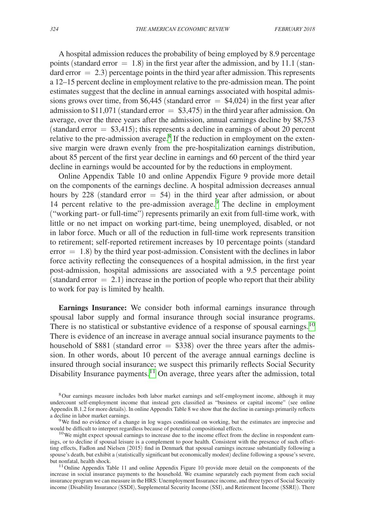A hospital admission reduces the probability of being employed by 8.9 percentage points (standard error  $= 1.8$ ) in the first year after the admission, and by 11.1 (standard error  $= 2.3$ ) percentage points in the third year after admission. This represents a 12–15 percent decline in employment relative to the pre-admission mean. The point estimates suggest that the decline in annual earnings associated with hospital admissions grows over time, from \$6,445 (standard error  $=$  \$4,024) in the first year after admission to \$11,071 (standard error  $=$  \$3,475) in the third year after admission. On average, over the three years after the admission, annual earnings decline by \$8,753 (standard error  $=$  \$3,415); this represents a decline in earnings of about 20 percent relative to the pre-admission average.<sup>[8](#page-16-0)</sup> If the reduction in employment on the extensive margin were drawn evenly from the pre-hospitalization earnings distribution, about 85 percent of the first year decline in earnings and 60 percent of the third year decline in earnings would be accounted for by the reductions in employment.

Online Appendix Table 10 and online Appendix Figure 9 provide more detail on the components of the earnings decline. A hospital admission decreases annual hours by 228 (standard error  $= 54$ ) in the third year after admission, or about 14 percent relative to the pre-admission average.<sup>9</sup> The decline in employment ("working part- or full-time") represents primarily an exit from full-time work, with little or no net impact on working part-time, being unemployed, disabled, or not in labor force. Much or all of the reduction in full-time work represents transition to retirement; self-reported retirement increases by 10 percentage points (standard  $error = 1.8$ ) by the third year post-admission. Consistent with the declines in labor force activity reflecting the consequences of a hospital admission, in the first year post-admission, hospital admissions are associated with a 9.5 percentage point (standard error  $= 2.1$ ) increase in the portion of people who report that their ability to work for pay is limited by health.

**Earnings Insurance:** We consider both informal earnings insurance through spousal labor supply and formal insurance through social insurance programs. There is no statistical or substantive evidence of a response of spousal earnings.<sup>[10](#page-16-2)</sup> There is evidence of an increase in average annual social insurance payments to the household of \$881 (standard error  $=$  \$338) over the three years after the admission. In other words, about 10 percent of the average annual earnings decline is insured through social insurance; we suspect this primarily reflects Social Security Disability Insurance payments.<sup>11</sup> On average, three years after the admission, total

<span id="page-16-0"></span><sup>8</sup>Our earnings measure includes both labor market earnings and self-employment income, although it may undercount self-employment income that instead gets classified as "business or capital income" (see online Appendix B.1.2 for more details). In online Appendix Table 8 we show that the decline in earnings primarily reflects

<span id="page-16-1"></span><sup>&</sup>lt;sup>9</sup>We find no evidence of a change in log wages conditional on working, but the estimates are imprecise and would be difficult to interpret regardless because of potential compositional effects.

<span id="page-16-2"></span><sup>&</sup>lt;sup>10</sup>We might expect spousal earnings to increase due to the income effect from the decline in respondent earnings, or to decline if spousal leisure is a complement to poor health. Consistent with the presence of such offsetting effects, Fadlon and Nielsen (2015) find in Denmark that spousal earnings increase substantially following a spouse's death, but exhibit a (statistically significant but economically modest) decline following a spouse's severe,

<span id="page-16-3"></span> $\frac{11}{11}$  Online Appendix Table 11 and online Appendix Figure 10 provide more detail on the components of the increase in social insurance payments to the household. We examine separately each payment from each social insurance program we can measure in the HRS: Unemployment Insurance income, and three types of Social Security income (Disability Insurance (SSDI), Supplemental Security Income (SSI), and Retirement Income (SSRI)). There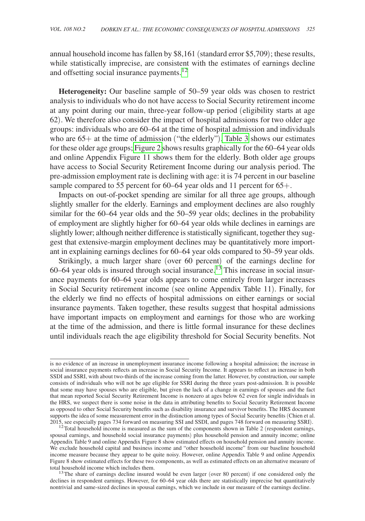annual household income has fallen by \$8,161 (standard error \$5,709); these results, while statistically imprecise, are consistent with the estimates of earnings decline and offsetting social insurance payments[.12](#page-17-0)

**Heterogeneity:** Our baseline sample of 50–59 year olds was chosen to restrict analysis to individuals who do not have access to Social Security retirement income at any point during our main, three-year follow-up period (eligibility starts at age 62). We therefore also consider the impact of hospital admissions for two older age groups: individuals who are 60–64 at the time of hospital admission and individuals who are  $65+$  at the time of admission ("the elderly")[. Table 3](#page-18-0) shows our estimates for these older age groups; [Figure 2 s](#page-19-0)hows results graphically for the 60–64 year olds and online Appendix Figure 11 shows them for the elderly. Both older age groups have access to Social Security Retirement Income during our analysis period. The pre-admission employment rate is declining with age: it is 74 percent in our baseline sample compared to 55 percent for 60–64 year olds and 11 percent for 65+.

Impacts on out-of-pocket spending are similar for all three age groups, although slightly smaller for the elderly. Earnings and employment declines are also roughly similar for the 60–64 year olds and the 50–59 year olds; declines in the probability of employment are slightly higher for 60–64 year olds while declines in earnings are slightly lower; although neither difference is statistically significant, together they suggest that extensive-margin employment declines may be quantitatively more important in explaining earnings declines for 60–64 year olds compared to 50–59 year olds.

Strikingly, a much larger share (over 60 percent) of the earnings decline for 60–64 year olds is insured through social insurance[.13](#page-17-1) This increase in social insurance payments for 60–64 year olds appears to come entirely from larger increases in Social Security retirement income (see online Appendix Table 11). Finally, for the elderly we find no effects of hospital admissions on either earnings or social insurance payments. Taken together, these results suggest that hospital admissions have important impacts on employment and earnings for those who are working at the time of the admission, and there is little formal insurance for these declines until individuals reach the age eligibility threshold for Social Security benefits. Not

is no evidence of an increase in unemployment insurance income following a hospital admission; the increase in social insurance payments reflects an increase in Social Security Income. It appears to reflect an increase in both SSDI and SSRI, with about two-thirds of the increase coming from the latter. However, by construction, our sample consists of individuals who will not be age eligible for SSRI during the three years post-admission. It is possible that some may have spouses who are eligible, but given the lack of a change in earnings of spouses and the fact that mean reported Social Security Retirement Income is nonzero at ages below 62 even for single individuals in the HRS, we suspect there is some noise in the data in attributing benefits to Social Security Retirement Income as opposed to other Social Security benefits such as disability insurance and survivor benefits. The HRS document supports the idea of some measurement error in the distinction among types of Social Security benefits (Chien et al. 2015, see especially pages 734 forward on measuring SSI and SSDI, and pages 748 forward on measuring SSRI

<span id="page-17-0"></span> $12$ Total household income is measured as the sum of the components shown in Table 2 (respondent earnings, spousal earnings, and household social insurance payments) plus household pension and annuity income; online Appendix Table 9 and online Appendix Figure 8 show estimated effects on household pension and annuity income. We exclude household capital and business income and "other household income" from our baseline household income measure because they appear to be quite noisy. However, online Appendix Table 9 and online Appendix Figure 8 show estimated effects for these two components, as well as estimated effects on an alternative measure of

<span id="page-17-1"></span> $13$ The share of earnings decline insured would be even larger (over 80 percent) if one considered only the declines in respondent earnings. However, for 60–64 year olds there are statistically imprecise but quantitatively nontrivial and same-sized declines in spousal earnings, which we include in our measure of the earnings decline.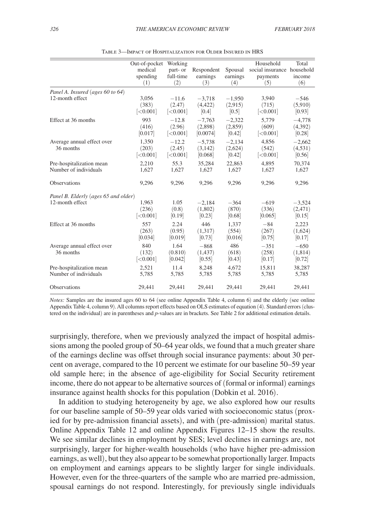<span id="page-18-0"></span>

|                                                     | Out-of-pocket<br>medical<br>spending<br>(1) | Working<br>part- or<br>full-time<br>(2) | Respondent<br>earnings<br>(3)   | Spousal<br>earnings<br>(4)    | Household<br>social insurance household<br>payments<br>(5) | Total<br>income<br>(6)         |
|-----------------------------------------------------|---------------------------------------------|-----------------------------------------|---------------------------------|-------------------------------|------------------------------------------------------------|--------------------------------|
| Panel A. Insured (ages 60 to 64)<br>12-month effect | 3,056<br>(383)<br>$\approx 0.001$           | $-11.6$<br>(2.47)<br>[<]0.001]          | $-3,718$<br>(4, 422)<br>[0.4]   | $-1,950$<br>(2,915)<br>[0.5]  | 3.940<br>(715)<br>[<]0.001]                                | $-546$<br>(5,910)<br>[0.93]    |
| Effect at 36 months                                 | 993<br>(416)<br>[0.017]                     | $-12.8$<br>(2.96)<br>[<,0.001]          | $-7,763$<br>(2,898)<br>[0.0074] | $-2.322$<br>(2,859)<br>[0.42] | 5.779<br>(609)<br>$\approx 0.001$                          | $-4,778$<br>(4,392)<br>[0.28]  |
| Average annual effect over<br>36 months             | 1.350<br>(203)<br>[<]0.001]                 | $-12.2$<br>(2.45)<br>[<0.001]           | $-5.738$<br>(3, 142)<br>[0.068] | $-2.134$<br>(2,624)<br>[0.42] | 4.856<br>(542)<br>[<,0.001]                                | $-2,662$<br>(4, 531)<br>[0.56] |
| Pre-hospitalization mean<br>Number of individuals   | 2,210<br>1,627                              | 55.3<br>1,627                           | 35,284<br>1,627                 | 22,863<br>1,627               | 4,895<br>1,627                                             | 70,374<br>1,627                |
| <b>Observations</b>                                 | 9,296                                       | 9,296                                   | 9,296                           | 9,296                         | 9,296                                                      | 9,296                          |
| Panel B. Elderly (ages 65 and older)                |                                             |                                         |                                 |                               |                                                            |                                |
| 12-month effect                                     | 1,963<br>(236)<br>$\approx 0.001$           | 1.05<br>(0.8)<br> 0.19                  | $-2,184$<br>(1,802)<br> 0.23    | $-364$<br>(870)<br>[0.68]     | $-619$<br>(336)<br>[0.065]                                 | $-3,524$<br>(2,471)<br> 0.15   |
| Effect at 36 months                                 | 557<br>(263)<br>[0.034]                     | 2.24<br>(0.95)<br>[0.019]               | 446<br>(1,317)<br>[0.73]        | 1.337<br>(554)<br>[0.016]     | $-84$<br>(267)<br>[0.75]                                   | 2,223<br>(1,624)<br>[0.17]     |
| Average annual effect over<br>36 months             | 840<br>(132)<br>$\approx 0.001$             | 1.64<br>(0.810)<br>[0.042]              | $-868$<br>(1, 437)<br>[0.55]    | 486<br>(618)<br>[0.43]        | $-351$<br>(258)<br>[0.17]                                  | $-650$<br>(1,814)<br>[0.72]    |
| Pre-hospitalization mean<br>Number of individuals   | 2,521<br>5,785                              | 11.4<br>5,785                           | 8,248<br>5,785                  | 4,672<br>5,785                | 15,811<br>5,785                                            | 38,287<br>5,785                |
| <b>Observations</b>                                 | 29,441                                      | 29.441                                  | 29.441                          | 29.441                        | 29.441                                                     | 29,441                         |

Table 3—Impact of Hospitalization for Older Insured in HRS

*Notes:* Samples are the insured ages 60 to 64 (see online Appendix Table 4, column 6) and the elderly (see online Appendix Table 4, column 9). All columns report effects based on OLS estimates of equation (4). Standard errors (clustered on the individual) are in parentheses and *p*-values are in brackets. See Table 2 for additional estimation details.

surprisingly, therefore, when we previously analyzed the impact of hospital admissions among the pooled group of 50–64 year olds, we found that a much greater share of the earnings decline was offset through social insurance payments: about 30 percent on average, compared to the 10 percent we estimate for our baseline 50–59 year old sample here; in the absence of age-eligibility for Social Security retirement income, there do not appear to be alternative sources of (formal or informal) earnings insurance against health shocks for this population (Dobkin et al. 2016).

In addition to studying heterogeneity by age, we also explored how our results for our baseline sample of 50–59 year olds varied with socioeconomic status (proxied for by pre-admission financial assets), and with (pre-admission) marital status. Online Appendix Table 12 and online Appendix Figures 12–15 show the results. We see similar declines in employment by SES; level declines in earnings are, not surprisingly, larger for higher-wealth households (who have higher pre-admission earnings, as well), but they also appear to be somewhat proportionally larger. Impacts on employment and earnings appears to be slightly larger for single individuals. However, even for the three-quarters of the sample who are married pre-admission, spousal earnings do not respond. Interestingly, for previously single individuals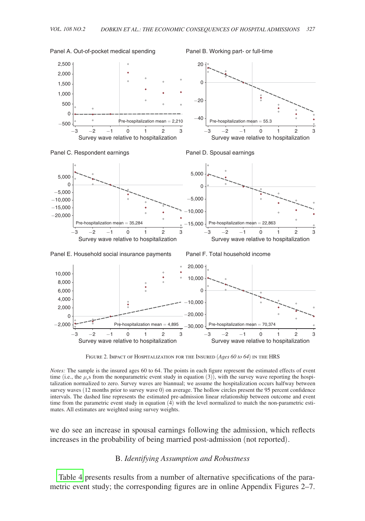<span id="page-19-0"></span>

Figure 2. Impact of Hospitalization for the Insured (*Ages 60 to 64*) in the HRS

*Notes:* The sample is the insured ages 60 to 64. The points in each figure represent the estimated effects of event time (i.e., the  $\mu_r$ s from the nonparametric event study in equation (3)), with the survey wave reporting the hospitalization normalized to zero. Survey waves are biannual; we assume the hospitalization occurs halfway between survey waves (12 months prior to survey wave 0) on average. The hollow circles present the 95 percent confidence intervals. The dashed line represents the estimated pre-admission linear relationship between outcome and event time from the parametric event study in equation  $(4)$  with the level normalized to match the non-parametric estimates. All estimates are weighted using survey weights.

we do see an increase in spousal earnings following the admission, which reflects increases in the probability of being married post-admission (not reported).

## B. *Identifying Assumption and Robustness*

[Table 4](#page-20-0) presents results from a number of alternative specifications of the parametric event study; the corresponding figures are in online Appendix Figures 2–7.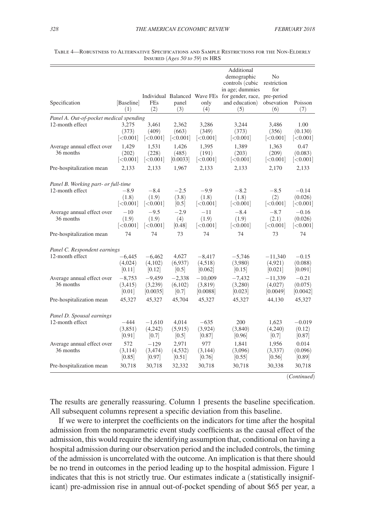| Specification                                              | [Baseline]                            | FEs                                   | panel                                 | Individual Balanced Wave FEs<br>only         | Additional<br>demographic<br>controls (cubic<br>in age; dummies<br>for gender, race, pre-period<br>and education) | No<br>restriction<br>for<br>obsevation       | Poisson                          |
|------------------------------------------------------------|---------------------------------------|---------------------------------------|---------------------------------------|----------------------------------------------|-------------------------------------------------------------------------------------------------------------------|----------------------------------------------|----------------------------------|
|                                                            | (1)                                   | (2)                                   | (3)                                   | (4)                                          | (5)                                                                                                               | (6)                                          | (7)                              |
| Panel A. Out-of-pocket medical spending<br>12-month effect | 3.275<br>(373)<br>[<0.001]            | 3.461<br>(409)<br>$\mid < 0.001 \mid$ | 2.362<br>(663)<br>$ \textless}0.001 $ | 3.286<br>(349)<br>$ <\!\!\!\!\sim$ 0.001 $ $ | 3.244<br>(373)<br>$ <\!\!\!\!\sim$ 0.001 $ $                                                                      | 3.486<br>(356)<br>$ <\!\!\!\!\sim$ 0.001 $ $ | 1.00<br>(0.130)<br>[<,0.001]     |
| Average annual effect over<br>36 months                    | 1,429<br>(202)<br>$ \textless}0.001 $ | 1,531<br>(228)<br>< 0.001             | 1,426<br>(485)<br> 0.0033             | 1,395<br>(191)<br>[<]0.001]                  | 1,389<br>(203)<br>[<,0.001]                                                                                       | 1,363<br>(209)<br>[<,0.001]                  | 0.47<br>(0.083)<br>[<,0.001]     |
| Pre-hospitalization mean                                   | 2,133                                 | 2,133                                 | 1,967                                 | 2,133                                        | 2,133                                                                                                             | 2,170                                        | 2,133                            |
| Panel B. Working part- or full-time<br>12-month effect     | $-8.9$<br>(1.8)<br>$\approx 0.001$    | $-8.4$<br>(1.9)<br>$\leq 0.001$       | $-2.5$<br>(3.8)<br>[0.5]              | $-9.9$<br>(1.8)<br>[<0.001]                  | $-8.2$<br>(1.8)<br>[<0.001]                                                                                       | $-8.5$<br>(2)<br>[<0.001]                    | $-0.14$<br>(0.026)<br>[<]0.001]  |
| Average annual effect over<br>36 months                    | $-10$<br>(1.9)<br>[<]0.001]           | $-9.5$<br>(1.9)<br>< 0.001            | $-2.9$<br>(4)<br> 0.48                | $-11$<br>(1.9)<br>$ <\!\!\!\!\sim$ 0.001 $ $ | $-8.4$<br>(1.9)<br>$\mid<\hspace{-0.1cm}0.001\hspace{-0.1cm}\mid$                                                 | $-8.7$<br>(2.1)<br>[<]0.001]                 | $-0.16$<br>(0.026)<br>$ <$ 0.001 |
| Pre-hospitalization mean                                   | 74                                    | 74                                    | 73                                    | 74                                           | 74                                                                                                                | 73                                           | 74                               |
| Panel C. Respondent earnings<br>12-month effect            | $-6,445$<br>(4,024)<br>[0.11]         | $-6,462$<br>(4,102)<br>[0.12]         | 4,627<br>(6,937)<br>[0.5]             | $-8,417$<br>(4,518)<br> 0.062                | $-5,746$<br>(3,980)<br> 0.15                                                                                      | $-11,340$<br>(4,921)<br>[0.021]              | $-0.15$<br>(0.088)<br>[0.091]    |
| Average annual effect over<br>36 months                    | $-8,753$<br>(3, 415)<br>[0.01]        | $-9,459$<br>(3,239)<br>[0.0035]       | $-2.338$<br>(6,102)<br>[0.7]          | $-10,009$<br>(3,819)<br>[0.0088]             | $-7,432$<br>(3,280)<br>[0.023]                                                                                    | $-11,339$<br>(4,027)<br>[0.0049]             | $-0.21$<br>(0.075)<br>[0.0042]   |
| Pre-hospitalization mean                                   | 45,327                                | 45,327                                | 45,704                                | 45,327                                       | 45,327                                                                                                            | 44,130                                       | 45,327                           |
| Panel D. Spousal earnings<br>12-month effect               | $-444$<br>(3,851)<br>[0.91]           | $-1,610$<br>(4,242)<br>[0.7]          | 4,014<br>(5,915)<br>[0.5]             | $-635$<br>(3,924)<br>[0.87]                  | 200<br>(3,840)<br>[0.96]                                                                                          | 1,623<br>(4,240)<br>[0.7]                    | $-0.019$<br>(0.12)<br>[0.87]     |
| Average annual effect over<br>36 months                    | 572<br>(3, 114)<br>[0.85]             | $-129$<br>(3, 474)<br>[0.97]          | 2,971<br>(4, 532)<br>[0.51]           | 977<br>(3, 144)<br>[0.76]                    | 1,841<br>(3,096)<br>[0.55]                                                                                        | 1,956<br>(3,337)<br>[0.56]                   | 0.014<br>(0.096)<br>[0.89]       |
| Pre-hospitalization mean                                   | 30,718                                | 30,718                                | 32,332                                | 30,718                                       | 30,718                                                                                                            | 30,338                                       | 30,718                           |

<span id="page-20-0"></span>

| TABLE 4—ROBUSTNESS TO ALTERNATIVE SPECIFICATIONS AND SAMPLE RESTRICTIONS FOR THE NON-ELDERLY |
|----------------------------------------------------------------------------------------------|
| INSURED $(Ages 50 to 59)$ in HRS                                                             |

(*Continued*)

The results are generally reassuring. Column 1 presents the baseline specification. All subsequent columns represent a specific deviation from this baseline.

If we were to interpret the coefficients on the indicators for time after the hospital admission from the nonparametric event study coefficients as the causal effect of the admission, this would require the identifying assumption that, conditional on having a hospital admission during our observation period and the included controls, the timing of the admission is uncorrelated with the outcome. An implication is that there should be no trend in outcomes in the period leading up to the hospital admission. Figure 1 indicates that this is not strictly true. Our estimates indicate a (statistically insignificant) pre-admission rise in annual out-of-pocket spending of about \$65 per year, a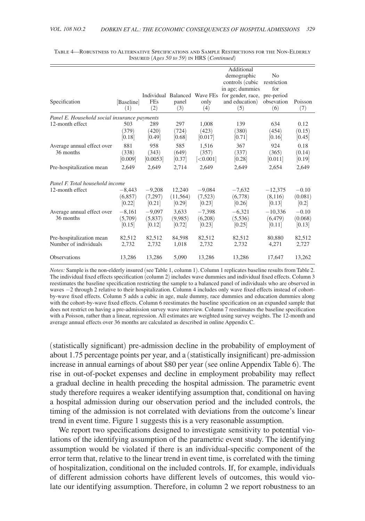| Specification                                     | [Baseline]<br>(1)              | Individual<br><b>FEs</b><br>(2) | <b>Balanced</b><br>panel<br>(3) | Wave FEs<br>only<br>(4)           | Additional<br>demographic<br>controls (cubic<br>in age; dummies<br>for gender, race,<br>and education)<br>(5) | N <sub>0</sub><br>restriction<br>for<br>pre-period<br>obsevation<br>(6) | Poisson<br>(7)               |
|---------------------------------------------------|--------------------------------|---------------------------------|---------------------------------|-----------------------------------|---------------------------------------------------------------------------------------------------------------|-------------------------------------------------------------------------|------------------------------|
| Panel E. Household social insurance payments      |                                |                                 |                                 |                                   |                                                                                                               |                                                                         |                              |
| 12-month effect                                   | 503<br>(379)<br>[0.18]         | 289<br>(420)<br>[0.49]          | 297<br>(724)<br>[0.68]          | 1,008<br>(423)<br> 0.017          | 139<br>(380)<br>[0.71]                                                                                        | 634<br>(454)<br> 0.16                                                   | 0.12<br>(0.15)<br>[0.45]     |
| Average annual effect over<br>36 months           | 881<br>(338)<br>[0.009]        | 958<br>(343)<br>[0.0053]        | 585<br>(649)<br>[0.37]          | 1.516<br>(357)<br>$\approx 0.001$ | 367<br>(337)<br> 0.28                                                                                         | 924<br>(365)<br>[0.011]                                                 | 0.18<br>(0.14)<br>[0.19]     |
| Pre-hospitalization mean                          | 2,649                          | 2.649                           | 2.714                           | 2.649                             | 2,649                                                                                                         | 2,654                                                                   | 2,649                        |
| Panel F. Total household income                   |                                |                                 |                                 |                                   |                                                                                                               |                                                                         |                              |
| 12-month effect                                   | $-8.443$<br>(6, 857)<br>[0.22] | $-9,208$<br>(7,297)<br>[0.21]   | 12,240<br>(11, 564)<br>[0.29]   | $-9,084$<br>(7,523)<br>[0.23]     | $-7,632$<br>(6,778)<br>[0.26]                                                                                 | $-12,375$<br>(8,116)<br>[0.13]                                          | $-0.10$<br>(0.081)<br>[0.2]  |
| Average annual effect over<br>36 months           | $-8.161$<br>(5,709)<br>[0.15]  | $-9,097$<br>(5,837)<br>[0.12]   | 3,633<br>(9,985)<br>[0.72]      | $-7.398$<br>(6,208)<br>[0.23]     | $-6.321$<br>(5, 536)<br>[0.25]                                                                                | $-10,336$<br>(6, 479)<br>[0.11]                                         | $-0.10$<br>(0.068)<br>[0.13] |
| Pre-hospitalization mean<br>Number of individuals | 82,512<br>2,732                | 82,512<br>2,732                 | 84,598<br>1,018                 | 82,512<br>2,732                   | 82,512<br>2,732                                                                                               | 80,880<br>4,271                                                         | 82,512<br>2,727              |
| <b>Observations</b>                               | 13,286                         | 13,286                          | 5,090                           | 13,286                            | 13,286                                                                                                        | 17,647                                                                  | 13,262                       |

Table 4—Robustness to Alternative Specifications and Sample Restrictions for the Non-Elderly Insured (*Ages 50 to 59*) in HRS (*Continued*)

*Notes:* Sample is the non-elderly insured (see Table 1, column 1). Column 1 replicates baseline results from Table 2. The individual fixed effects specification (column 2) includes wave dummies and individual fixed effects. Column 3 reestimates the baseline specification restricting the sample to a balanced panel of individuals who are observed in waves  $-2$  through 2 relative to their hospitalization. Column 4 includes only wave fixed effects instead of cohortby-wave fixed effects. Column 5 adds a cubic in age, male dummy, race dummies and education dummies along with the cohort-by-wave fixed effects. Column 6 reestimates the baseline specification on an expanded sample that does not restrict on having a pre-admission survey wave interview. Column 7 reestimates the baseline specification with a Poisson, rather than a linear, regression. All estimates are weighted using survey weights. The 12-month and average annual effects over 36 months are calculated as described in online Appendix C.

(statistically significant) pre-admission decline in the probability of employment of about 1.75 percentage points per year, and a (statistically insignificant) pre-admission increase in annual earnings of about \$80 per year (see online Appendix Table 6). The rise in out-of-pocket expenses and decline in employment probability may reflect a gradual decline in health preceding the hospital admission. The parametric event study therefore requires a weaker identifying assumption that, conditional on having a hospital admission during our observation period and the included controls, the timing of the admission is not correlated with deviations from the outcome's linear trend in event time. Figure 1 suggests this is a very reasonable assumption.

We report two specifications designed to investigate sensitivity to potential violations of the identifying assumption of the parametric event study. The identifying assumption would be violated if there is an individual-specific component of the error term that, relative to the linear trend in event time, is correlated with the timing of hospitalization, conditional on the included controls. If, for example, individuals of different admission cohorts have different levels of outcomes, this would violate our identifying assumption. Therefore, in column 2 we report robustness to an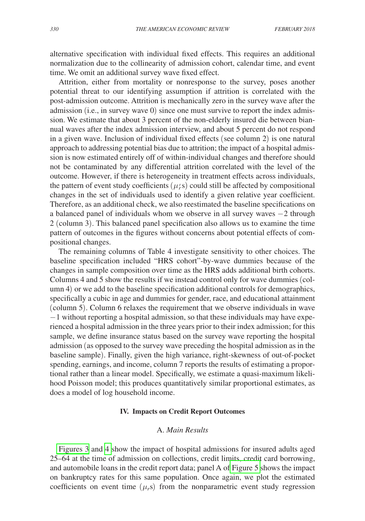alternative specification with individual fixed effects. This requires an additional normalization due to the collinearity of admission cohort, calendar time, and event time. We omit an additional survey wave fixed effect.

Attrition, either from mortality or nonresponse to the survey, poses another potential threat to our identifying assumption if attrition is correlated with the post-admission outcome. Attrition is mechanically zero in the survey wave after the admission (i.e., in survey wave 0) since one must survive to report the index admission. We estimate that about 3 percent of the non-elderly insured die between biannual waves after the index admission interview, and about 5 percent do not respond in a given wave. Inclusion of individual fixed effects (see column 2) is one natural approach to addressing potential bias due to attrition; the impact of a hospital admission is now estimated entirely off of within-individual changes and therefore should not be contaminated by any differential attrition correlated with the level of the outcome. However, if there is heterogeneity in treatment effects across individuals, the pattern of event study coefficients  $(\mu_j s)$  could still be affected by compositional changes in the set of individuals used to identify a given relative year coefficient. Therefore, as an additional check, we also reestimated the baseline specifications on a balanced panel of individuals whom we observe in all survey waves −2 through 2 (column 3). This balanced panel specification also allows us to examine the time pattern of outcomes in the figures without concerns about potential effects of compositional changes.

The remaining columns of Table 4 investigate sensitivity to other choices. The baseline specification included "HRS cohort"-by-wave dummies because of the changes in sample composition over time as the HRS adds additional birth cohorts. Columns 4 and 5 show the results if we instead control only for wave dummies (column 4) or we add to the baseline specification additional controls for demographics, specifically a cubic in age and dummies for gender, race, and educational attainment (column 5). Column 6 relaxes the requirement that we observe individuals in wave −1 without reporting a hospital admission, so that these individuals may have experienced a hospital admission in the three years prior to their index admission; for this sample, we define insurance status based on the survey wave reporting the hospital admission (as opposed to the survey wave preceding the hospital admission as in the baseline sample). Finally, given the high variance, right-skewness of out-of-pocket spending, earnings, and income, column 7 reports the results of estimating a proportional rather than a linear model. Specifically, we estimate a quasi-maximum likelihood Poisson model; this produces quantitatively similar proportional estimates, as does a model of log household income.

#### **IV. Impacts on Credit Report Outcomes**

# A. *Main Results*

[Figures 3](#page-23-0) and [4](#page-24-0) show the impact of hospital admissions for insured adults aged 25–64 at the time of admission on collections, credit limits, credit card borrowing, and automobile loans in the credit report data; panel A of [Figure 5](#page-25-0) shows the impact on bankruptcy rates for this same population. Once again, we plot the estimated coefficients on event time  $(\mu, s)$  from the nonparametric event study regression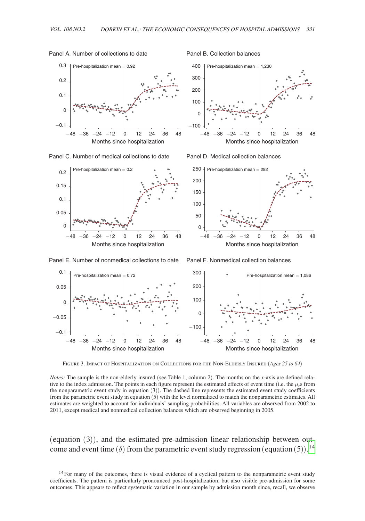300 400



<span id="page-23-0"></span>Panel A. Number of collections to date

Pre-hospitalization mean  $= 0.92$ 

0.3

Panel B. Collection balances

Pre-hospitalization mean  $= 1,230$ 







Panel E. Number of nonmedical collections to date

Panel F. Nonmedical collection balances



Figure 3. Impact of Hospitalization on Collections for the Non-Elderly Insured (*Ages 25 to 64*)

*Notes:* The sample is the non-elderly insured (see Table 1, column 2). The months on the *x*-axis are defined relative to the index admission. The points in each figure represent the estimated effects of event time (i.e. the  $\mu_r$ s from the nonparametric event study in equation  $(3)$ ). The dashed line represents the estimated event study coefficients from the parametric event study in equation (5) with the level normalized to match the nonparametric estimates. All estimates are weighted to account for individuals' sampling probabilities. All variables are observed from 2002 to 2011, except medical and nonmedical collection balances which are observed beginning in 2005.

(equation (3)), and the estimated pre-admission linear relationship between outcome and event time ( $\delta$ ) from the parametric event study regression (equation (5)).<sup>[14](#page-23-1)</sup>

<span id="page-23-1"></span><sup>14</sup>For many of the outcomes, there is visual evidence of a cyclical pattern to the nonparametric event study coefficients. The pattern is particularly pronounced post-hospitalization, but also visible pre-admission for some outcomes. This appears to reflect systematic variation in our sample by admission month since, recall, we observe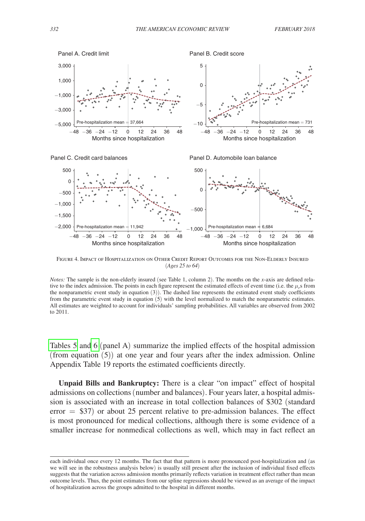<span id="page-24-0"></span>



Figure 4. Impact of Hospitalization on Other Credit Report Outcomes for the Non-Elderly Insured (*Ages 25 to 64*)

*Notes:* The sample is the non-elderly insured (see Table 1, column 2). The months on the *x*-axis are defined relative to the index admission. The points in each figure represent the estimated effects of event time (i.e. the  $\mu$ <sub>r</sub>s from the nonparametric event study in equation (3)). The dashed line represents the estimated event study coefficients from the parametric event study in equation (5) with the level normalized to match the nonparametric estimates. All estimates are weighted to account for individuals' sampling probabilities. All variables are observed from 2002 to 2011.

[Tables 5](#page-26-0) and [6](#page-27-0) (panel A) summarize the implied effects of the hospital admission (from equation (5)) at one year and four years after the index admission. Online Appendix Table 19 reports the estimated coefficients directly.

**Unpaid Bills and Bankruptcy:** There is a clear "on impact" effect of hospital admissions on collections (number and balances). Four years later, a hospital admission is associated with an increase in total collection balances of \$302 (standard error  $=$  \$37) or about 25 percent relative to pre-admission balances. The effect is most pronounced for medical collections, although there is some evidence of a smaller increase for nonmedical collections as well, which may in fact reflect an

each individual once every 12 months. The fact that that pattern is more pronounced post-hospitalization and (as we will see in the robustness analysis below) is usually still present after the inclusion of individual fixed effects suggests that the variation across admission months primarily reflects variation in treatment effect rather than mean outcome levels. Thus, the point estimates from our spline regressions should be viewed as an average of the impact of hospitalization across the groups admitted to the hospital in different months.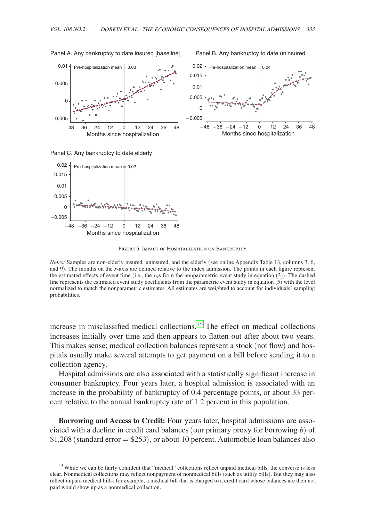

<span id="page-25-0"></span>Panel A. Any bankruptcy to date insured [baseline]

Panel B. Any bankruptcy to date uninsured

Figure 5. Impact of Hospitalization on Bankruptcy

*Notes:* Samples are non-elderly insured, uninsured, and the elderly (see online Appendix Table 13, columns 3, 6, and 9). The months on the *x*-axis are defined relative to the index admission. The points in each figure represent the estimated effects of event time (i.e., the  $\mu_r$ s from the nonparametric event study in equation (3)). The dashed line represents the estimated event study coefficients from the parametric event study in equation (5) with the level normalized to match the nonparametric estimates. All estimates are weighted to account for individuals' sampling probabilities.

increase in misclassified medical collections.15 The effect on medical collections increases initially over time and then appears to flatten out after about two years. This makes sense; medical collection balances represent a stock (not flow) and hospitals usually make several attempts to get payment on a bill before sending it to a collection agency.

Hospital admissions are also associated with a statistically significant increase in consumer bankruptcy. Four years later, a hospital admission is associated with an increase in the probability of bankruptcy of 0.4 percentage points, or about 33 percent relative to the annual bankruptcy rate of 1.2 percent in this population.

**Borrowing and Access to Credit:** Four years later, hospital admissions are associated with a decline in credit card balances (our primary proxy for borrowing *b*) of \$1,208 (standard error = \$253), or about 10 percent. Automobile loan balances also

<sup>&</sup>lt;sup>15</sup> While we can be fairly confident that "medical" collections reflect unpaid medical bills, the converse is less clear. Nonmedical collections may reflect nonpayment of nonmedical bills (such as utility bills). But they may also reflect unpaid medical bills; for example, a medical bill that is charged to a credit card whose balances are then not paid would show up as a nonmedical collection.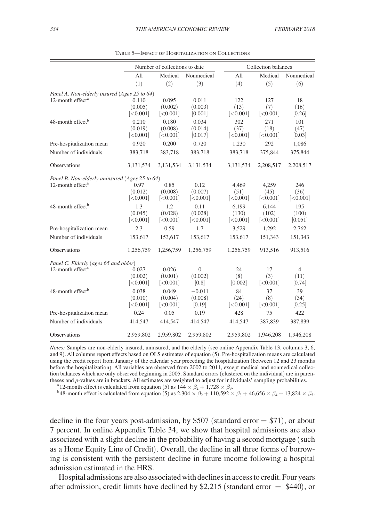<span id="page-26-0"></span>

|                                                |                                              | Number of collections to date       |                                 |                                  | Collection balances        |                                  |  |  |
|------------------------------------------------|----------------------------------------------|-------------------------------------|---------------------------------|----------------------------------|----------------------------|----------------------------------|--|--|
|                                                | All                                          | Medical                             | Nonmedical                      | All                              | Medical                    | Nonmedical                       |  |  |
|                                                | (1)                                          | (2)                                 | (3)                             | (4)                              | (5)                        | (6)                              |  |  |
| Panel A. Non-elderly insured (Ages 25 to 64)   |                                              |                                     |                                 |                                  |                            |                                  |  |  |
| 12-month effect <sup>a</sup>                   | 0.110<br>(0.005)<br>$\leq 0.001$             | 0.095<br>(0.002)<br>$\approx 0.001$ | 0.011<br>(0.003)<br>[0.001]     | 122<br>(13)<br>$\approx 0.001$   | 127<br>(7)<br>[<0.001]     | 18<br>(16)<br> 0.26              |  |  |
| 48-month effect <sup>b</sup>                   | 0.210<br>(0.019)<br>$\left[ < 0.001 \right]$ | 0.180<br>(0.008)<br>[<0.001]        | 0.034<br>(0.014)<br>[0.017]     | 302<br>(37)<br>[<0.001]          | 271<br>(18)<br>[<0.001]    | 101<br>(47)<br>[0.03]            |  |  |
| Pre-hospitalization mean                       | 0.920                                        | 0.200                               | 0.720                           | 1,230                            | 292                        | 1,086                            |  |  |
| Number of individuals                          | 383,718                                      | 383,718                             | 383,718                         | 383,718                          | 375,844                    | 375,844                          |  |  |
| <b>Observations</b>                            | 3,131,534                                    | 3,131,534                           | 3,131,534                       | 3,131,534                        | 2,208,517                  | 2,208,517                        |  |  |
| Panel B. Non-elderly uninsured (Ages 25 to 64) |                                              |                                     |                                 |                                  |                            |                                  |  |  |
| 12-month effect <sup>a</sup>                   | 0.97<br>(0.012)<br>$\leq 0.001$              | 0.85<br>(0.008)<br>$\approx 0.001$  | 0.12<br>(0.007)<br>$\leq 0.001$ | 4,469<br>(51)<br>$\approx 0.001$ | 4,259<br>(45)<br>[<]0.001] | 246<br>(36)<br>$\approx 0.001$   |  |  |
| 48-month effect <sup>b</sup>                   | 1.3<br>(0.045)<br>[<0.001]                   | 1.2<br>(0.028)<br>[<0.001]          | 0.11<br>(0.028)<br>[<]0.001]    | 6.199<br>(130)<br>[<,0.001]      | 6.144<br>(102)<br> <0.001  | 195<br>(100)<br>[0.051]          |  |  |
| Pre-hospitalization mean                       | 2.3                                          | 0.59                                | 1.7                             | 3,529                            | 1,292                      | 2,762                            |  |  |
| Number of individuals                          | 153,617                                      | 153,617                             | 153,617                         | 153,617                          | 151,343                    | 151,343                          |  |  |
| Observations                                   | 1,256,759                                    | 1,256,759                           | 1,256,759                       | 1,256,759                        | 913,516                    | 913,516                          |  |  |
| Panel C. Elderly (ages 65 and older)           |                                              |                                     |                                 |                                  |                            |                                  |  |  |
| 12-month effect <sup>a</sup>                   | 0.027<br>(0.002)<br>$\leq 0.001$             | 0.026<br>(0.001)<br>[<,0.001]       | $\Omega$<br>(0.002)<br>[0.8]    | 24<br>(8)<br>[0.002]             | 17<br>(3)<br>[<0.001]      | $\overline{4}$<br>(11)<br>[0.74] |  |  |
| 48-month effect <sup>b</sup>                   | 0.038<br>(0.010)<br>[<0.001]                 | 0.049<br>(0.004)<br>[<,0.001]       | $-0.011$<br>(0.008)<br>[0.19]   | 84<br>(24)<br>[<,0.001]          | 37<br>(8)<br>[<0.001]      | 39<br>(34)<br>[0.25]             |  |  |
| Pre-hospitalization mean                       | 0.24                                         | 0.05                                | 0.19                            | 428                              | 75                         | 422                              |  |  |
| Number of individuals                          | 414,547                                      | 414,547                             | 414,547                         | 414,547                          | 387,839                    | 387,839                          |  |  |
| <b>Observations</b>                            | 2,959,802                                    | 2,959,802                           | 2,959,802                       | 2,959,802                        | 1,946,208                  | 1,946,208                        |  |  |

Table 5—Impact of Hospitalization on Collections

*Notes:* Samples are non-elderly insured, uninsured, and the elderly (see online Appendix Table 13, columns 3, 6, and 9). All columns report effects based on OLS estimates of equation (5). Pre-hospitalization means are calculated using the credit report from January of the calendar year preceding the hospitalization (between 12 and 23 months before the hospitalization). All variables are observed from 2002 to 2011, except medical and nonmedical collection balances which are only observed beginning in 2005. Standard errors (clustered on the individual) are in parentheses and *p*-values are in brackets. All estimates are weighted to adjust for individuals' sampling probabilities.<br><sup>a</sup> 12-month effect is calculated from equation (5) as  $144 \times \beta_2 + 1{,}728 \times \beta_3$ .

<sup>b</sup>48-month effect is calculated from equation (5) as 2,304 ×  $\beta_2$  + 110,592 ×  $\beta_3$  + 46,656 ×  $\beta_4$  + 13,824 ×  $\beta_5$ .

decline in the four years post-admission, by \$507 (standard error  $= $71$ ), or about 7 percent. In online Appendix Table 34, we show that hospital admissions are also associated with a slight decline in the probability of having a second mortgage (such as a Home Equity Line of Credit). Overall, the decline in all three forms of borrowing is consistent with the persistent decline in future income following a hospital admission estimated in the HRS.

Hospital admissions are also associated with declines in access to credit. Four years after admission, credit limits have declined by \$2,215 (standard error  $=$  \$440), or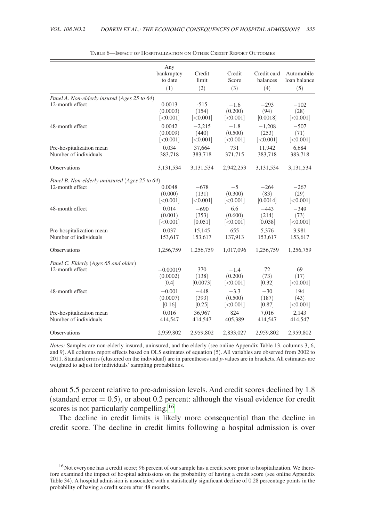<span id="page-27-0"></span>

|                                                                   | Any<br>bankruptcy<br>to date<br>(1) | Credit<br>limit<br>(2)         | Credit<br>Score<br>(3)         | Credit card<br>balances<br>(4) | Automobile<br>loan balance<br>(5) |
|-------------------------------------------------------------------|-------------------------------------|--------------------------------|--------------------------------|--------------------------------|-----------------------------------|
| Panel A. Non-elderly insured (Ages 25 to 64)<br>12-month effect   | 0.0013<br>(0.0003)<br>[<0.001]      | $-515$<br>(154)<br>[<0.001]    | $-1.6$<br>(0.200)<br>[<,0.001] | $-293$<br>(94)<br>[0.0018]     | $-102$<br>(28)<br>[<,0.001]       |
| 48-month effect                                                   | 0.0042<br>(0.0009)<br>[<,0.001]     | $-2,215$<br>(440)<br>[<,0.001] | $-1.8$<br>(0.500)<br>[<,0.001] | $-1,208$<br>(253)<br>[<0.001]  | $-507$<br>(71)<br>[<,0.001]       |
| Pre-hospitalization mean<br>Number of individuals                 | 0.034<br>383,718                    | 37,664<br>383,718              | 731<br>371,715                 | 11,942<br>383,718              | 6,684<br>383,718                  |
| <b>Observations</b>                                               | 3,131,534                           | 3,131,534                      | 2,942,253                      | 3,131,534                      | 3,131,534                         |
| Panel B. Non-elderly uninsured (Ages 25 to 64)<br>12-month effect | 0.0048<br>(0.000)<br>[<0.001]       | $-678$<br>(131)<br>[<,0.001]   | $-5$<br>(0.300)<br>[<0.001]    | $-264$<br>(83)<br>[0.0014]     | $-267$<br>(29)<br>[<,0.001]       |
| 48-month effect                                                   | 0.014<br>(0.001)<br>[<0.001]        | $-690$<br>(353)<br>[0.051]     | 6.6<br>(0.600)<br>[<0.001]     | $-443$<br>(214)<br>[0.038]     | $-349$<br>(73)<br>[<0.001]        |
| Pre-hospitalization mean<br>Number of individuals                 | 0.037<br>153,617                    | 15,145<br>153,617              | 655<br>137,913                 | 5,376<br>153,617               | 3,981<br>153,617                  |
| Observations                                                      | 1,256,759                           | 1,256,759                      | 1,017,096                      | 1,256,759                      | 1,256,759                         |
| Panel C. Elderly (Ages 65 and older)<br>12-month effect           | $-0.00019$<br>(0.0002)<br>[0.4]     | 370<br>(138)<br>[0.0073]       | $-1.4$<br>(0.200)<br>[<,0.001] | 72<br>(73)<br>[0.32]           | 69<br>(17)<br>[<0.001]            |
| 48-month effect                                                   | $-0.001$<br>(0.0007)<br>[0.16]      | $-448$<br>(393)<br>[0.25]      | $-3.3$<br>(0.500)<br>[<0.001]  | $-30$<br>(187)<br>[0.87]       | 194<br>(43)<br>[<0.001]           |
| Pre-hospitalization mean<br>Number of individuals                 | 0.016<br>414,547                    | 36,967<br>414,547              | 824<br>405,389                 | 7,016<br>414,547               | 2,143<br>414,547                  |
| Observations                                                      | 2,959,802                           | 2,959,802                      | 2,833,027                      | 2,959,802                      | 2,959,802                         |

Table 6—Impact of Hospitalization on Other Credit Report Outcomes

*Notes:* Samples are non-elderly insured, uninsured, and the elderly (see online Appendix Table 13, columns 3, 6, and 9). All columns report effects based on OLS estimates of equation (5). All variables are observed from 2002 to 2011. Standard errors (clustered on the individual) are in parentheses and *p*-values are in brackets. All estimates are weighted to adjust for individuals' sampling probabilities.

about 5.5 percent relative to pre-admission levels. And credit scores declined by 1.8 (standard error  $= 0.5$ ), or about 0.2 percent: although the visual evidence for credit scores is not particularly compelling.<sup>[16](#page-27-1)</sup>

The decline in credit limits is likely more consequential than the decline in credit score. The decline in credit limits following a hospital admission is over

<span id="page-27-1"></span><sup>&</sup>lt;sup>16</sup>Not everyone has a credit score; 96 percent of our sample has a credit score prior to hospitalization. We therefore examined the impact of hospital admissions on the probability of having a credit score (see online Appendix Table 34). A hospital admission is associated with a statistically significant decline of 0.28 percentage points in the probability of having a credit score after 48 months.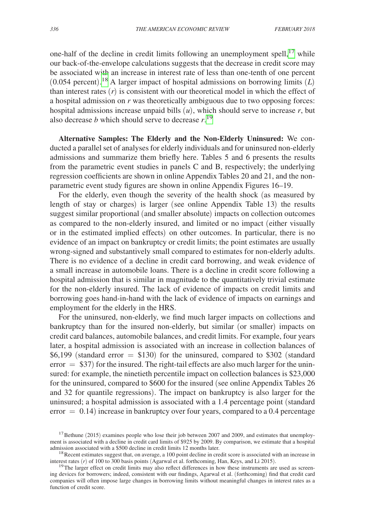one-half of the decline in credit limits following an unemployment spell, $^{17}$  while our back-of-the-envelope calculations suggests that the decrease in credit score may be associated with an increase in interest rate of less than one-tenth of one percent (0.054 percent). [18](#page-28-1) A larger impact of hospital admissions on borrowing limits (*L*) than interest rates (*r*) is consistent with our theoretical model in which the effect of a hospital admission on *r* was theoretically ambiguous due to two opposing forces: hospital admissions increase unpaid bills (*u*), which should serve to increase *r*, but also decrease *b* which should serve to decrease  $r$ .<sup>[19](#page-28-2)</sup>

**Alternative Samples: The Elderly and the Non-Elderly Uninsured:** We conducted a parallel set of analyses for elderly individuals and for uninsured non-elderly admissions and summarize them briefly here. Tables 5 and 6 presents the results from the parametric event studies in panels C and B, respectively; the underlying regression coefficients are shown in online Appendix Tables 20 and 21, and the nonparametric event study figures are shown in online Appendix Figures 16–19.

For the elderly, even though the severity of the health shock (as measured by length of stay or charges) is larger (see online Appendix Table 13) the results suggest similar proportional (and smaller absolute) impacts on collection outcomes as compared to the non-elderly insured, and limited or no impact (either visually or in the estimated implied effects) on other outcomes. In particular, there is no evidence of an impact on bankruptcy or credit limits; the point estimates are usually wrong-signed and substantively small compared to estimates for non-elderly adults. There is no evidence of a decline in credit card borrowing, and weak evidence of a small increase in automobile loans. There is a decline in credit score following a hospital admission that is similar in magnitude to the quantitatively trivial estimate for the non-elderly insured. The lack of evidence of impacts on credit limits and borrowing goes hand-in-hand with the lack of evidence of impacts on earnings and employment for the elderly in the HRS.

For the uninsured, non-elderly, we find much larger impacts on collections and bankruptcy than for the insured non-elderly, but similar (or smaller) impacts on credit card balances, automobile balances, and credit limits. For example, four years later, a hospital admission is associated with an increase in collection balances of \$6,199 (standard error  $=$  \$130) for the uninsured, compared to \$302 (standard  $error = $37$  for the insured. The right-tail effects are also much larger for the uninsured: for example, the ninetieth percentile impact on collection balances is \$23,000 for the uninsured, compared to \$600 for the insured (see online Appendix Tables 26 and 32 for quantile regressions). The impact on bankruptcy is also larger for the uninsured; a hospital admission is associated with a 1.4 percentage point (standard error  $= 0.14$ ) increase in bankruptcy over four years, compared to a 0.4 percentage

<span id="page-28-0"></span> $17$ Bethune (2015) examines people who lose their job between 2007 and 2009, and estimates that unemployment is associated with a decline in credit card limits of \$925 by 2009. By comparison, we estimate that a hospital admission associated with a \$500 decline in credit limits 12 months later.

<span id="page-28-1"></span><sup>&</sup>lt;sup>18</sup> Recent estimates suggest that, on average, a 100 point decline in credit score is associated with an increase in interest rates  $(r)$  of 100 to 300 basis points (Agarwal et al. forthcoming, Han, Keys, and Li 2015).

<span id="page-28-2"></span><sup>&</sup>lt;sup>19</sup>The larger effect on credit limits may also reflect differences in how these instruments are used as screening devices for borrowers; indeed, consistent with our findings, Agarwal et al. (forthcoming) find that credit card companies will often impose large changes in borrowing limits without meaningful changes in interest rates as a function of credit score.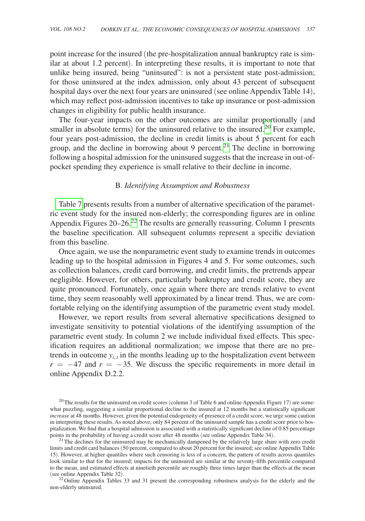point increase for the insured (the pre-hospitalization annual bankruptcy rate is similar at about 1.2 percent). In interpreting these results, it is important to note that unlike being insured, being "uninsured": is not a persistent state post-admission; for those uninsured at the index admission, only about 43 percent of subsequent hospital days over the next four years are uninsured (see online Appendix Table 14), which may reflect post-admission incentives to take up insurance or post-admission changes in eligibility for public health insurance.

The four-year impacts on the other outcomes are similar proportionally (and smaller in absolute terms) for the uninsured relative to the insured.<sup>20</sup> For example, four years post-admission, the decline in credit limits is about 5 percent for each group, and the decline in borrowing about 9 percent.<sup>21</sup> The decline in borrowing following a hospital admission for the uninsured suggests that the increase in out-ofpocket spending they experience is small relative to their decline in income.

# B. *Identifying Assumption and Robustness*

[Table 7](#page-30-0) presents results from a number of alternative specification of the parametric event study for the insured non-elderly; the corresponding figures are in online Appendix Figures 20–26.<sup>22</sup> The results are generally reassuring. Column 1 presents the baseline specification. All subsequent columns represent a specific deviation from this baseline.

Once again, we use the nonparametric event study to examine trends in outcomes leading up to the hospital admission in Figures 4 and 5. For some outcomes, such as collection balances, credit card borrowing, and credit limits, the pretrends appear negligible. However, for others, particularly bankruptcy and credit score, they are quite pronounced. Fortunately, once again where there are trends relative to event time, they seem reasonably well approximated by a linear trend. Thus, we are comfortable relying on the identifying assumption of the parametric event study model.

However, we report results from several alternative specifications designed to investigate sensitivity to potential violations of the identifying assumption of the parametric event study. In column 2 we include individual fixed effects. This specification requires an additional normalization; we impose that there are no pretrends in outcome  $y_{i,t}$  in the months leading up to the hospitalization event between  $r = -47$  and  $r = -35$ . We discuss the specific requirements in more detail in online Appendix D.2.2.

<span id="page-29-2"></span>non-elderly uninsured.

<span id="page-29-0"></span><sup>&</sup>lt;sup>20</sup>The results for the uninsured on credit scores (column 3 of Table 6 and online Appendix Figure 17) are somewhat puzzling, suggesting a similar proportional decline to the insured at 12 months but a statistically significant *increase* at 48 months. However, given the potential endogeneity of presence of a credit score, we urge some caution in interpreting these results. As noted above, only 84 percent of the uninsured sample has a credit score prior to hospitalization. We find that a hospital admission is associated with a statistically significant decline of 0.85 percentage points in the probability of having a credit score after 48 months (see online Appendix Table 34).

<span id="page-29-1"></span><sup>&</sup>lt;sup>21</sup> The declines for the uninsured may be mechanically dampened by the relatively large share with zero credit limits and credit card balances (50 percent, compared to about 20 percent for the insured; see online Appendix Table 15). However, at higher quantiles where such censoring is less of a concern, the pattern of results across quantiles look similar to that for the insured; impacts for the uninsured are similar at the seventy-fifth percentile compared to the mean, and estimated effects at ninetieth percentile are roughly three times larger than the effects at the mean (see online Appendix Table 32). 22Online Appendix Tables 33 and 31 present the corresponding robustness analysis for the elderly and the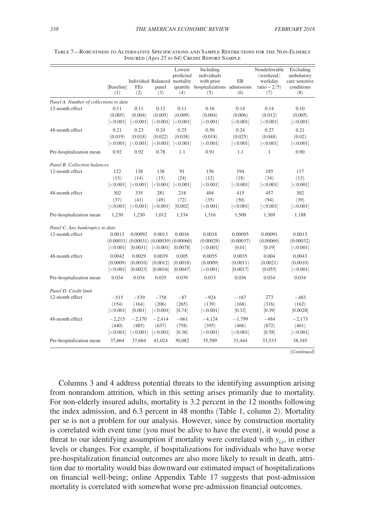|                                        |              |                                                 |           | Lowest    | Including                            |           | Nondeferrable        | Excluding                    |
|----------------------------------------|--------------|-------------------------------------------------|-----------|-----------|--------------------------------------|-----------|----------------------|------------------------------|
|                                        |              | Individual Balanced mortality                   |           | predicted | individuals<br>with prior            | ER        | (weekend/<br>weekday | ambulatory<br>care sensitive |
|                                        | [Baseline]   | <b>FEs</b>                                      | panel     |           | quartile hospitalizations admissions |           | ratio ~ $2/5$ )      | conditions                   |
|                                        | (1)          | (2)                                             | (3)       | (4)       | (5)                                  | (6)       | (7)                  | (8)                          |
| Panel A. Number of collections to date |              |                                                 |           |           |                                      |           |                      |                              |
| 12-month effect                        | 0.11         | 0.11                                            | 0.12      | 0.11      | 0.16                                 | 0.14      | 0.14                 | 0.10                         |
|                                        | (0.005)      | (0.004)                                         | (0.005)   | (0.009)   | (0.004)                              | (0.006)   | (0.012)              | (0.005)                      |
|                                        | [<,0.001]    | [<,0.001]                                       | [<0.001]  | [<0.001]  | [<0.001]                             | [<0.001]  | [<0.001]             | [<0.001]                     |
| 48-month effect                        | 0.21         | 0.23                                            | 0.24      | 0.25      | 0.50                                 | 0.24      | 0.27                 | 0.21                         |
|                                        | (0.019)      | (0.018)                                         | (0.022)   | (0.038)   | (0.018)                              | (0.025)   | (0.048)              | (0.02)                       |
|                                        | $\sim 0.001$ | [<0.001]                                        | [<0.001]  | [<0.001]  | [<0.001]                             | [<0.001]  | [<0.001]             | [<0.001]                     |
| Pre-hospitalization mean               | 0.92         | 0.92                                            | 0.78      | 1.1       | 0.91                                 | 1.1       | 1                    | 0.90                         |
| Panel B. Collection balances           |              |                                                 |           |           |                                      |           |                      |                              |
| 12-month effect                        | 122          | 138                                             | 138       | 91        | 156                                  | 194       | 185                  | 117                          |
|                                        | (13)         | (14)                                            | (15)      | (24)      | (12)                                 | (18)      | (34)                 | (13)                         |
|                                        | [<0.001]     | [<0.001]                                        | [<0.001]  | [<0.001]  | [<,0.001]                            | [<0.001]  | [<0.001]             | [<0.001]                     |
| 48-month effect                        | 302          | 335                                             | 281       | 218       | 404                                  | 415       | 457                  | 302                          |
|                                        | (37)         | (41)                                            | (49)      | (72)      | (35)                                 | (50)      | (94)                 | (39)                         |
|                                        | [<0.001]     | [<0.001]                                        | [<0.001]  | [0.002]   | $\approx 0.001$                      | [<0.001]  | [<0.001]             | [<0.001]                     |
| Pre-hospitalization mean               | 1,230        | 1,230                                           | 1,012     | 1,334     | 1,316                                | 1,500     | 1,369                | 1,188                        |
| Panel C. Any bankruptcy to date        |              |                                                 |           |           |                                      |           |                      |                              |
| 12-month effect                        | 0.0013       | 0.00092                                         | 0.0013    | 0.0016    | 0.0018                               | 0.00095   | 0.00091              | 0.0013                       |
|                                        |              | $(0.00031)$ $(0.00031)$ $(0.00039)$ $(0.00060)$ |           |           | (0.00029)                            | (0.00037) | (0.00069)            | (0.00032)                    |
|                                        | [<0.001]     | [0.0031]                                        | [<0.001]  | [0.0078]  | [<0.001]                             | [0.01]    | [0.19]               | [<0.001]                     |
| 48-month effect                        | 0.0042       | 0.0029                                          | 0.0039    | 0.005     | 0.0055                               | 0.0035    | 0.004                | 0.0043                       |
|                                        | (0.0009)     | (0.0010)                                        | (0.0012)  | (0.0018)  | (0.0009)                             | (0.0011)  | (0.0021)             | (0.0010)                     |
|                                        | [<0.001]     | [0.0023]                                        | [0.0016]  | [0.0047]  | [<0.001]                             | [0.0017]  | [0.055]              | [<0.001]                     |
| Pre-hospitalization mean               | 0.034        | 0.034                                           | 0.035     | 0.039     | 0.033                                | 0.036     | 0.034                | 0.034                        |
| Panel D. Credit limit                  |              |                                                 |           |           |                                      |           |                      |                              |
| 12-month effect                        | $-515$       | $-539$                                          | $-758$    | $-87$     | $-924$                               | $-167$    | 273                  | $-483$                       |
|                                        | (154)        | (164)                                           | (206)     | (265)     | (139)                                | (168)     | (316)                | (162)                        |
|                                        | [<,0.001]    | [0.001]                                         | [<,0.001] | [0.74]    | [<,0.001]                            | [0.32]    | [0.39]               | [0.0028]                     |
| 48-month effect                        | $-2,215$     | $-2.170$                                        | $-2,414$  | $-661$    | $-4.124$                             | $-1.799$  | $-484$               | $-2,173$                     |
|                                        | (440)        | (485)                                           | (637)     | (758)     | (395)                                | (466)     | (872)                | (461)                        |
|                                        | [<0.001]     | [<0.001]                                        | [<0.001]  | [0.38]    | [<,0.001]                            | [<0.001]  | [0.58]               | [<0.001]                     |
| Pre-hospitalization mean               | 37,664       | 37,664                                          | 41,024    | 30,082    | 35,589                               | 33,444    | 33,533               | 38,345                       |
|                                        |              |                                                 |           |           |                                      |           |                      |                              |

<span id="page-30-0"></span>

| TABLE 7—ROBUSTNESS TO ALTERNATIVE SPECIFICATIONS AND SAMPLE RESTRICTIONS FOR THE NON-ELDERLY |
|----------------------------------------------------------------------------------------------|
| INSURED (Ages 25 to 64) CREDIT REPORT SAMPLE                                                 |

(*Continued*)

Columns 3 and 4 address potential threats to the identifying assumption arising from nonrandom attrition, which in this setting arises primarily due to mortality. For non-elderly insured adults, mortality is 3.2 percent in the 12 months following the index admission, and 6.3 percent in 48 months (Table 1, column 2). Mortality per se is not a problem for our analysis. However, since by construction mortality is correlated with event time (you must be alive to have the event), it would pose a threat to our identifying assumption if mortality were correlated with  $y_{i,t}$ , in either levels or changes. For example, if hospitalizations for individuals who have worse pre-hospitalization financial outcomes are also more likely to result in death, attrition due to mortality would bias downward our estimated impact of hospitalizations on financial well-being; online Appendix Table 17 suggests that post-admission mortality is correlated with somewhat worse pre-admission financial outcomes.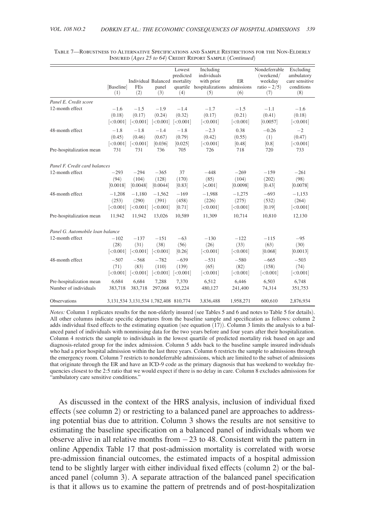|                                  | [Baseline]<br>(1) | Individual Balanced mortality<br><b>FEs</b><br>(2) | panel<br>(3)             | Lowest<br>predicted<br>quartile<br>(4) | Including<br>individuals<br>with prior<br>hospitalizations<br>(5) | ER<br>admissions<br>(6) | Nondeferrable<br>(weekend/<br>weekday<br>ratio ~ $2/5$ )<br>(7) | Excluding<br>ambulatory<br>care sensitive<br>conditions<br>(8) |
|----------------------------------|-------------------|----------------------------------------------------|--------------------------|----------------------------------------|-------------------------------------------------------------------|-------------------------|-----------------------------------------------------------------|----------------------------------------------------------------|
| Panel E. Credit score            |                   |                                                    |                          |                                        |                                                                   |                         |                                                                 |                                                                |
| 12-month effect                  | $-1.6$            | $-1.5$                                             | $-1.9$                   | $-1.4$                                 | $-1.7$                                                            | $-1.5$                  | $-1.1$                                                          | $-1.6$                                                         |
|                                  | (0.18)            | (0.17)                                             | (0.24)                   | (0.32)                                 | (0.17)                                                            | (0.21)                  | (0.41)                                                          | (0.18)                                                         |
|                                  | [<,0.001]         | [<0.001]                                           | [<0.001]                 | < 0.001                                | [<]0.001]                                                         | [<0.001]                | [0.0057]                                                        | [<0.001]                                                       |
| 48-month effect                  | $-1.8$            | $-1.8$                                             | $-1.4$                   | $-1.8$                                 | $-2.3$                                                            | 0.38                    | $-0.26$                                                         | $-2$                                                           |
|                                  | (0.45)            | (0.46)                                             | (0.67)                   | (0.79)                                 | (0.42)                                                            | (0.55)                  | (1)                                                             | (0.47)                                                         |
|                                  | [<0.001]          | [<0.001]                                           | [0.036]                  | [0.025]                                | [<,0.001]                                                         | [0.48]                  | [0.8]                                                           | [<0.001]                                                       |
| Pre-hospitalization mean         | 731               | 731                                                | 736                      | 705                                    | 726                                                               | 718                     | 720                                                             | 733                                                            |
| Panel F. Credit card balances    |                   |                                                    |                          |                                        |                                                                   |                         |                                                                 |                                                                |
| 12-month effect                  | $-293$            | $-294$                                             | $-365$                   | 37                                     | $-448$                                                            | $-269$                  | $-159$                                                          | $-261$                                                         |
|                                  | (94)              | (104)                                              | (128)                    | (170)                                  | (85)                                                              | (104)                   | (202)                                                           | (98)                                                           |
|                                  | [0.0018]          | [0.0048]                                           | [0.0044]                 | [0.83]                                 | $\approx 0.001$                                                   | [0.0098]                | [0.43]                                                          | [0.0078]                                                       |
| 48-month effect                  | $-1,208$          | $-1.180$                                           | $-1,562$                 | $-169$                                 | $-1.988$                                                          | $-1,275$                | $-693$                                                          | $-1,153$                                                       |
|                                  | (253)             | (290)                                              | (391)                    | (458)                                  | (226)                                                             | (275)                   | (532)                                                           | (264)                                                          |
|                                  | [<0.001]          | [<,0.001]                                          | [<0.001]                 | [0.71]                                 | [<,0.001]                                                         | [<,0.001]               | [0.19]                                                          | $\left[ < 0.001 \right]$                                       |
| Pre-hospitalization mean         | 11.942            | 11.942                                             | 13.026                   | 10.589                                 | 11.309                                                            | 10.714                  | 10.810                                                          | 12,130                                                         |
| Panel G. Automobile loan balance |                   |                                                    |                          |                                        |                                                                   |                         |                                                                 |                                                                |
| 12-month effect                  | $-102$            | $-137$                                             | $-151$                   | $-63$                                  | $-130$                                                            | $-122$                  | $-115$                                                          | $-95$                                                          |
|                                  | (28)              | (31)                                               | (38)                     | (56)                                   | (26)                                                              | (33)                    | (63)                                                            | (30)                                                           |
|                                  | [<0.001]          | [<0.001]                                           | $\left[ < 0.001 \right]$ | [0.26]                                 | [<,0.001]                                                         | [<0.001]                | [0.068]                                                         | [0.0013]                                                       |
| 48-month effect                  | $-507$            | $-568$                                             | $-782$                   | $-639$                                 | $-531$                                                            | $-580$                  | $-665$                                                          | $-503$                                                         |
|                                  | (71)              | (83)                                               | (110)                    | (139)                                  | (65)                                                              | (82)                    | (158)                                                           | (74)                                                           |
|                                  | [<0.001]          | [<]0.001]                                          | [<0.001]                 | [<]0.001]                              | [<]0.001]                                                         | [<0.001]                | [<0.001]                                                        | $\left[ < 0.001 \right]$                                       |
| Pre-hospitalization mean         | 6,684             | 6,684                                              | 7,288                    | 7,370                                  | 6,512                                                             | 6,446                   | 6,503                                                           | 6,748                                                          |
| Number of individuals            | 383,718           | 383,718                                            | 297,068                  | 93,224                                 | 480,127                                                           | 241,400                 | 74,314                                                          | 351,753                                                        |
| Observations                     |                   | 3, 131, 534 3, 131, 534 1, 782, 408 810, 774       |                          |                                        | 3,836,488                                                         | 1,958,271               | 600,610                                                         | 2,876,934                                                      |

Table 7—Robustness to Alternative Specifications and Sample Restrictions for the Non-Elderly Insured (*Ages 25 to 64*) Credit Report Sample (*Continued*)

*Notes:* Column 1 replicates results for the non-elderly insured (see Tables 5 and 6 and notes to Table 5 for details). All other columns indicate specific departures from the baseline sample and specification as follows: column 2 adds individual fixed effects to the estimating equation (see equation (17)). Column 3 limits the analysis to a balanced panel of individuals with nonmissing data for the two years before and four years after their hospitalization. Column 4 restricts the sample to individuals in the lowest quartile of predicted mortality risk based on age and diagnosis-related group for the index admission. Column 5 adds back to the baseline sample insured individuals who had a prior hospital admission within the last three years. Column 6 restricts the sample to admissions through the emergency room. Column 7 restricts to nondeferrable admissions, which are limited to the subset of admissions that originate through the ER and have an ICD-9 code as the primary diagnosis that has weekend to weekday frequencies closest to the 2:5 ratio that we would expect if there is no delay in care. Column 8 excludes admissions for "ambulatory care sensitive conditions."

As discussed in the context of the HRS analysis, inclusion of individual fixed effects (see column 2) or restricting to a balanced panel are approaches to addressing potential bias due to attrition. Column 3 shows the results are not sensitive to estimating the baseline specification on a balanced panel of individuals whom we observe alive in all relative months from  $-23$  to 48. Consistent with the pattern in online Appendix Table 17 that post-admission mortality is correlated with worse pre-admission financial outcomes, the estimated impacts of a hospital admission tend to be slightly larger with either individual fixed effects (column 2) or the balanced panel (column 3). A separate attraction of the balanced panel specification is that it allows us to examine the pattern of pretrends and of post-hospitalization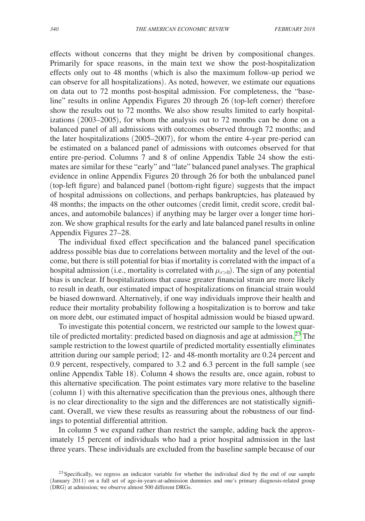effects without concerns that they might be driven by compositional changes. Primarily for space reasons, in the main text we show the post-hospitalization effects only out to 48 months (which is also the maximum follow-up period we can observe for all hospitalizations). As noted, however, we estimate our equations on data out to 72 months post-hospital admission. For completeness, the "baseline" results in online Appendix Figures 20 through 26 (top-left corner) therefore show the results out to 72 months. We also show results limited to early hospitalizations (2003–2005), for whom the analysis out to 72 months can be done on a balanced panel of all admissions with outcomes observed through 72 months; and the later hospitalizations (2005–2007), for whom the entire 4-year pre-period can be estimated on a balanced panel of admissions with outcomes observed for that entire pre-period. Columns 7 and 8 of online Appendix Table 24 show the estimates are similar for these "early" and "late" balanced panel analyses. The graphical evidence in online Appendix Figures 20 through 26 for both the unbalanced panel (top-left figure) and balanced panel (bottom-right figure) suggests that the impact of hospital admissions on collections, and perhaps bankruptcies, has plateaued by 48 months; the impacts on the other outcomes (credit limit, credit score, credit balances, and automobile balances) if anything may be larger over a longer time horizon. We show graphical results for the early and late balanced panel results in online Appendix Figures 27–28.

The individual fixed effect specification and the balanced panel specification address possible bias due to correlations between mortality and the level of the outcome, but there is still potential for bias if mortality is correlated with the impact of a hospital admission (i.e., mortality is correlated with  $\mu_{r>0}$ ). The sign of any potential bias is unclear. If hospitalizations that cause greater financial strain are more likely to result in death, our estimated impact of hospitalizations on financial strain would be biased downward. Alternatively, if one way individuals improve their health and reduce their mortality probability following a hospitalization is to borrow and take on more debt, our estimated impact of hospital admission would be biased upward.

To investigate this potential concern, we restricted our sample to the lowest quartile of predicted mortality: predicted based on diagnosis and age at admission.<sup>23</sup> The sample restriction to the lowest quartile of predicted mortality essentially eliminates attrition during our sample period; 12- and 48-month mortality are 0.24 percent and 0.9 percent, respectively, compared to 3.2 and 6.3 percent in the full sample (see online Appendix Table 18). Column 4 shows the results are, once again, robust to this alternative specification. The point estimates vary more relative to the baseline (column 1) with this alternative specification than the previous ones, although there is no clear directionality to the sign and the differences are not statistically significant. Overall, we view these results as reassuring about the robustness of our findings to potential differential attrition.

In column 5 we expand rather than restrict the sample, adding back the approximately 15 percent of individuals who had a prior hospital admission in the last three years. These individuals are excluded from the baseline sample because of our

<span id="page-32-0"></span><sup>&</sup>lt;sup>23</sup> Specifically, we regress an indicator variable for whether the individual died by the end of our sample (January 2011) on a full set of age-in-years-at-admission dummies and one's primary diagnosis-related group (DRG) at admission; we observe almost 500 different DRGs.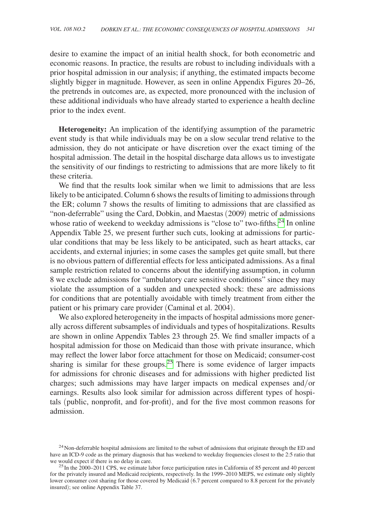desire to examine the impact of an initial health shock, for both econometric and economic reasons. In practice, the results are robust to including individuals with a prior hospital admission in our analysis; if anything, the estimated impacts become slightly bigger in magnitude. However, as seen in online Appendix Figures 20–26, the pretrends in outcomes are, as expected, more pronounced with the inclusion of these additional individuals who have already started to experience a health decline prior to the index event.

**Heterogeneity:** An implication of the identifying assumption of the parametric event study is that while individuals may be on a slow secular trend relative to the admission, they do not anticipate or have discretion over the exact timing of the hospital admission. The detail in the hospital discharge data allows us to investigate the sensitivity of our findings to restricting to admissions that are more likely to fit these criteria.

We find that the results look similar when we limit to admissions that are less likely to be anticipated. Column 6 shows the results of limiting to admissions through the ER; column 7 shows the results of limiting to admissions that are classified as "non-deferrable" using the Card, Dobkin, and Maestas (2009) metric of admissions whose ratio of weekend to weekday admissions is "close to" two-fifths.<sup>24</sup> In online Appendix Table 25, we present further such cuts, looking at admissions for particular conditions that may be less likely to be anticipated, such as heart attacks, car accidents, and external injuries; in some cases the samples get quite small, but there is no obvious pattern of differential effects for less anticipated admissions. As a final sample restriction related to concerns about the identifying assumption, in column 8 we exclude admissions for "ambulatory care sensitive conditions" since they may violate the assumption of a sudden and unexpected shock: these are admissions for conditions that are potentially avoidable with timely treatment from either the patient or his primary care provider (Caminal et al. 2004).

We also explored heterogeneity in the impacts of hospital admissions more generally across different subsamples of individuals and types of hospitalizations. Results are shown in online Appendix Tables 23 through 25. We find smaller impacts of a hospital admission for those on Medicaid than those with private insurance, which may reflect the lower labor force attachment for those on Medicaid; consumer-cost sharing is similar for these groups.<sup>25</sup> There is some evidence of larger impacts for admissions for chronic diseases and for admissions with higher predicted list charges; such admissions may have larger impacts on medical expenses and/or earnings. Results also look similar for admission across different types of hospitals (public, nonprofit, and for-profit), and for the five most common reasons for admission.

<span id="page-33-0"></span> $24$ Non-deferrable hospital admissions are limited to the subset of admissions that originate through the ED and have an ICD-9 code as the primary diagnosis that has weekend to weekday frequencies closest to the 2:5 ratio that we would expect if there is no delay in care.

<span id="page-33-1"></span> $^{25}$  In the 2000–2011 CPS, we estimate labor force participation rates in California of 85 percent and 40 percent for the privately insured and Medicaid recipients, respectively. In the 1999–2010 MEPS, we estimate only slightly lower consumer cost sharing for those covered by Medicaid (6.7 percent compared to 8.8 percent for the privately insured); see online Appendix Table 37.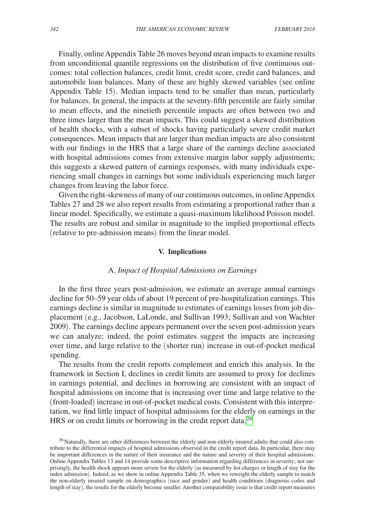Finally, online Appendix Table 26 moves beyond mean impacts to examine results from unconditional quantile regressions on the distribution of five continuous outcomes: total collection balances, credit limit, credit score, credit card balances, and automobile loan balances. Many of these are highly skewed variables (see online Appendix Table 15). Median impacts tend to be smaller than mean, particularly for balances. In general, the impacts at the seventy-fifth percentile are fairly similar to mean effects, and the ninetieth percentile impacts are often between two and three times larger than the mean impacts. This could suggest a skewed distribution of health shocks, with a subset of shocks having particularly severe credit market consequences. Mean impacts that are larger than median impacts are also consistent with our findings in the HRS that a large share of the earnings decline associated with hospital admissions comes from extensive margin labor supply adjustments; this suggests a skewed pattern of earnings responses, with many individuals experiencing small changes in earnings but some individuals experiencing much larger changes from leaving the labor force.

Given the right-skewness of many of our continuous outcomes, in online Appendix Tables 27 and 28 we also report results from estimating a proportional rather than a linear model. Specifically, we estimate a quasi-maximum likelihood Poisson model. The results are robust and similar in magnitude to the implied proportional effects (relative to pre-admission means) from the linear model.

#### **V. Implications**

#### A. *Impact of Hospital Admissions on Earnings*

In the first three years post-admission, we estimate an average annual earnings decline for 50–59 year olds of about 19 percent of pre-hospitalization earnings. This earnings decline is similar in magnitude to estimates of earnings losses from job displacement (e.g., Jacobson, LaLonde, and Sullivan 1993; Sullivan and von Wachter 2009). The earnings decline appears permanent over the seven post-admission years we can analyze; indeed, the point estimates suggest the impacts are increasing over time, and large relative to the (shorter run) increase in out-of-pocket medical spending.

The results from the credit reports complement and enrich this analysis. In the framework in Section I, declines in credit limits are assumed to proxy for declines in earnings potential, and declines in borrowing are consistent with an impact of hospital admissions on income that is increasing over time and large relative to the (front-loaded) increase in out-of-pocket medical costs. Consistent with this interpretation, we find little impact of hospital admissions for the elderly on earnings in the HRS or on credit limits or borrowing in the credit report data[.26](#page-34-0)

<span id="page-34-0"></span><sup>&</sup>lt;sup>26</sup>Naturally, there are other differences between the elderly and non-elderly insured adults that could also contribute to the differential impacts of hospital admissions observed in the credit report data. In particular, there may be important differences in the nature of their insurance and the nature and severity of their hospital admissions. Online Appendix Tables 13 and 14 provide some descriptive information regarding differences in severity; not surprisingly, the health shock appears more severe for the elderly (as measured by list charges or length of stay for the index admission). Indeed, as we show in online Appendix Table 35, when we reweight the elderly sample to match the non-elderly insured sample on demographics (race and gender) and health conditions (diagnosis codes and length of stay), the results for the elderly become smaller. Another comparability issue is that credit report measures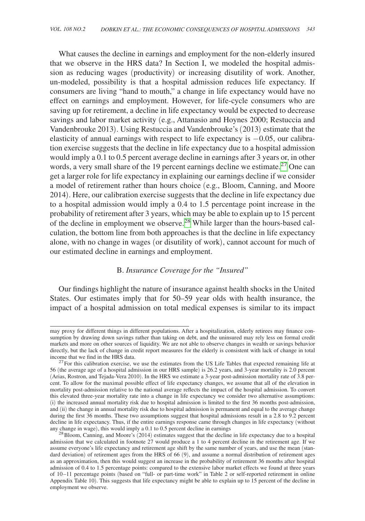What causes the decline in earnings and employment for the non-elderly insured that we observe in the HRS data? In Section I, we modeled the hospital admission as reducing wages (productivity) or increasing disutility of work. Another, un-modeled, possibility is that a hospital admission reduces life expectancy. If consumers are living "hand to mouth," a change in life expectancy would have no effect on earnings and employment. However, for life-cycle consumers who are saving up for retirement, a decline in life expectancy would be expected to decrease savings and labor market activity (e.g., Attanasio and Hoynes 2000; Restuccia and Vandenbrouke 2013). Using Restuccia and Vandenbrouke's (2013) estimate that the elasticity of annual earnings with respect to life expectancy is −0.05, our calibration exercise suggests that the decline in life expectancy due to a hospital admission would imply a 0.1 to 0.5 percent average decline in earnings after 3 years or, in other words, a very small share of the 19 percent earnings decline we estimate.<sup>[27](#page-35-0)</sup> One can get a larger role for life expectancy in explaining our earnings decline if we consider a model of retirement rather than hours choice (e.g., Bloom, Canning, and Moore 2014). Here, our calibration exercise suggests that the decline in life expectancy due to a hospital admission would imply a 0.4 to 1.5 percentage point increase in the probability of retirement after 3 years, which may be able to explain up to 15 percent of the decline in employment we observe.[28](#page-35-1) While larger than the hours-based calculation, the bottom line from both approaches is that the decline in life expectancy alone, with no change in wages (or disutility of work), cannot account for much of our estimated decline in earnings and employment.

# B. *Insurance Coverage for the "Insured"*

Our findings highlight the nature of insurance against health shocks in the United States. Our estimates imply that for 50–59 year olds with health insurance, the impact of a hospital admission on total medical expenses is similar to its impact

may proxy for different things in different populations. After a hospitalization, elderly retirees may finance consumption by drawing down savings rather than taking on debt, and the uninsured may rely less on formal credit markets and more on other sources of liquidity. We are not able to observe changes in wealth or savings behavior directly, but the lack of change in credit report measures for the elderly is consistent with lack of change in total

<span id="page-35-0"></span>income that we find in the HRS data.<br><sup>27</sup>For this calibration exercise, we use the estimates from the US Life Tables that expected remaining life at 56 (the average age of a hospital admission in our HRS sample) is 26.2 years, and 3-year mortality is 2.0 percent (Arias, Rostron, and Tejada-Vera 2010). In the HRS we estimate a 3-year post-admission mortality rate of 3.8 percent. To allow for the maximal possible effect of life expectancy changes, we assume that all of the elevation in mortality post-admission relative to the national average reflects the impact of the hospital admission. To convert this elevated three-year mortality rate into a change in life expectancy we consider two alternative assumptions: (i) the increased annual mortality risk due to hospital admission is limited to the first 36 months post-admission, and (ii) the change in annual mortality risk due to hospital admission is permanent and equal to the average change during the first 36 months. These two assumptions suggest that hospital admissions result in a 2.8 to 9.2 percent decline in life expectancy. Thus, if the entire earnings response came through changes in life expectancy (without any change in wage), this would imply a 0.1 to 0.5 percent decline in earnings

<span id="page-35-1"></span> $^{28}$ Bloom, Canning, and Moore's (2014) estimates suggest that the decline in life expectancy due to a hospital admission that we calculated in footnote 27 would produce a 1 to 4 percent decline in the retirement age. If we assume everyone's life expectancy and retirement age shift by the same number of years, and use the mean (standard deviation) of retirement ages from the HRS of 66 (9), and assume a normal distribution of retirement ages as an approximation, then this would suggest an increase in the probability of retirement 36 months after hospital admission of 0.4 to 1.5 percentage points: compared to the extensive labor market effects we found at three years of 10 –11 percentage points (based on "full- or part-time work" in Table 2 or self-reported retirement in online Appendix Table 10). This suggests that life expectancy might be able to explain up to 15 percent of the decline in employment we observe.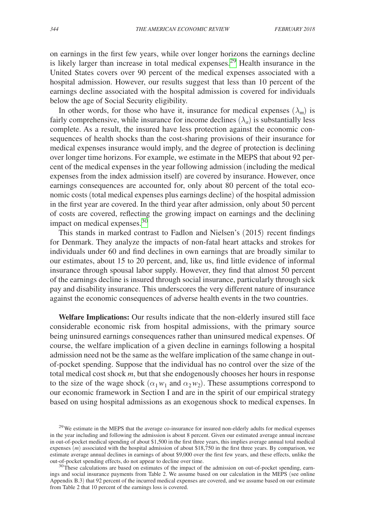on earnings in the first few years, while over longer horizons the earnings decline is likely larger than increase in total medical expenses[.29](#page-36-0) Health insurance in the United States covers over 90 percent of the medical expenses associated with a hospital admission. However, our results suggest that less than 10 percent of the earnings decline associated with the hospital admission is covered for individuals below the age of Social Security eligibility.

In other words, for those who have it, insurance for medical expenses  $(\lambda_m)$  is fairly comprehensive, while insurance for income declines  $(\lambda_a)$  is substantially less complete. As a result, the insured have less protection against the economic consequences of health shocks than the cost-sharing provisions of their insurance for medical expenses insurance would imply, and the degree of protection is declining over longer time horizons. For example, we estimate in the MEPS that about 92 percent of the medical expenses in the year following admission (including the medical expenses from the index admission itself) are covered by insurance. However, once earnings consequences are accounted for, only about 80 percent of the total economic costs (total medical expenses plus earnings decline) of the hospital admission in the first year are covered. In the third year after admission, only about 50 percent of costs are covered, reflecting the growing impact on earnings and the declining impact on medical expenses[.30](#page-36-1)

This stands in marked contrast to Fadlon and Nielsen's (2015) recent findings for Denmark. They analyze the impacts of non-fatal heart attacks and strokes for individuals under 60 and find declines in own earnings that are broadly similar to our estimates, about 15 to 20 percent, and, like us, find little evidence of informal insurance through spousal labor supply. However, they find that almost 50 percent of the earnings decline is insured through social insurance, particularly through sick pay and disability insurance. This underscores the very different nature of insurance against the economic consequences of adverse health events in the two countries.

**Welfare Implications:** Our results indicate that the non-elderly insured still face considerable economic risk from hospital admissions, with the primary source being uninsured earnings consequences rather than uninsured medical expenses. Of course, the welfare implication of a given decline in earnings following a hospital admission need not be the same as the welfare implication of the same change in outof-pocket spending. Suppose that the individual has no control over the size of the total medical cost shock *m*, but that she endogenously chooses her hours in response to the size of the wage shock  $(\alpha_1 w_1$  and  $\alpha_2 w_2$ ). These assumptions correspond to our economic framework in Section I and are in the spirit of our empirical strategy based on using hospital admissions as an exogenous shock to medical expenses. In

<span id="page-36-0"></span><sup>&</sup>lt;sup>29</sup>We estimate in the MEPS that the average co-insurance for insured non-elderly adults for medical expenses in the year including and following the admission is about 8 percent. Given our estimated average annual increase in out-of-pocket medical spending of about \$1,500 in the first three years, this implies average annual total medical expenses (*m*) associated with the hospital admission of about \$18,750 in the first three years. By comparison, we estimate average annual declines in earnings of about \$9,000 over the first few years, and these effects, unlike the out-of-pocket spending effects, do not appear to decline over time.<br><sup>30</sup>These calculations are based on estimates of the impact of the admission on out-of-pocket spending, earn-

<span id="page-36-1"></span>ings and social insurance payments from Table 2. We assume based on our calculation in the MEPS (see online Appendix B.3) that 92 percent of the incurred medical expenses are covered, and we assume based on our estimate from Table 2 that 10 percent of the earnings loss is covered.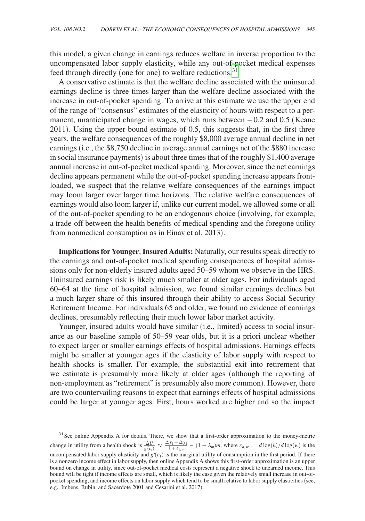this model, a given change in earnings reduces welfare in inverse proportion to the uncompensated labor supply elasticity, while any out-of-pocket medical expenses feed through directly (one for one) to welfare reductions. $3<sup>1</sup>$ 

A conservative estimate is that the welfare decline associated with the uninsured earnings decline is three times larger than the welfare decline associated with the increase in out-of-pocket spending. To arrive at this estimate we use the upper end of the range of "consensus" estimates of the elasticity of hours with respect to a permanent, unanticipated change in wages, which runs between −0.2 and 0.5 (Keane 2011). Using the upper bound estimate of 0.5, this suggests that, in the first three years, the welfare consequences of the roughly \$8,000 average annual decline in net earnings (i.e., the \$8,750 decline in average annual earnings net of the \$880 increase in social insurance payments) is about three times that of the roughly \$1,400 average annual increase in out-of-pocket medical spending. Moreover, since the net earnings decline appears permanent while the out-of-pocket spending increase appears frontloaded, we suspect that the relative welfare consequences of the earnings impact may loom larger over larger time horizons. The relative welfare consequences of earnings would also loom larger if, unlike our current model, we allowed some or all of the out-of-pocket spending to be an endogenous choice (involving, for example, a trade-off between the health benefits of medical spending and the foregone utility from nonmedical consumption as in Einav et al. 2013).

**Implications for Younger**, **Insured Adults:** Naturally, our results speak directly to the earnings and out-of-pocket medical spending consequences of hospital admissions only for non-elderly insured adults aged 50–59 whom we observe in the HRS. Uninsured earnings risk is likely much smaller at older ages. For individuals aged 60–64 at the time of hospital admission, we found similar earnings declines but a much larger share of this insured through their ability to access Social Security Retirement Income. For individuals 65 and older, we found no evidence of earnings declines, presumably reflecting their much lower labor market activity.

Younger, insured adults would have similar (i.e., limited) access to social insurance as our baseline sample of 50–59 year olds, but it is a priori unclear whether to expect larger or smaller earnings effects of hospital admissions. Earnings effects might be smaller at younger ages if the elasticity of labor supply with respect to health shocks is smaller. For example, the substantial exit into retirement that we estimate is presumably more likely at older ages (although the reporting of non-employment as "retirement" is presumably also more common). However, there are two countervailing reasons to expect that earnings effects of hospital admissions could be larger at younger ages. First, hours worked are higher and so the impact

<span id="page-37-0"></span><sup>&</sup>lt;sup>31</sup>See online Appendix A for details. There, we show that a first-order approximation to the money-metric change in utility from a health shock is  $\frac{\Delta U}{g'(c_1)} \approx \frac{\Delta y_1 + \Delta y_2}{1 + \varepsilon_{h,w}}$  $\frac{1}{1 + \varepsilon_{h,w}} - (1 - \lambda_m)m$ , where  $\varepsilon_{h,w} = d \log(h)/d \log(w)$  is the uncompensated labor supply elasticity and  $g'(c_1)$  is the marginal utility of consumption in the first period. If there is a nonzero income effect in labor supply, then online Appendix A shows this first-order approximation is an upper bound on change in utility, since out-of-pocket medical costs represent a negative shock to unearned income. This bound will be tight if income effects are small, which is likely the case given the relatively small increase in out-ofpocket spending, and income effects on labor supply which tend to be small relative to labor supply elasticities (see, e.g., Imbens, Rubin, and Sacerdote 2001 and Cesarini et al. 2017).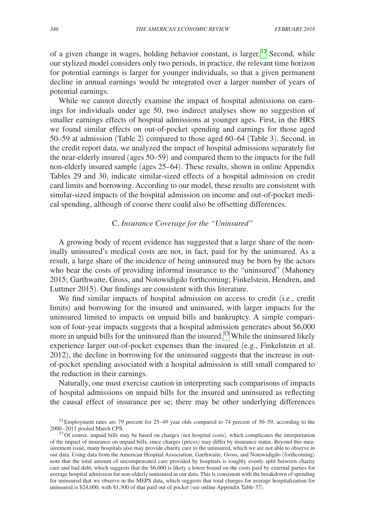of a given change in wages, holding behavior constant, is larger.<sup>[32](#page-38-0)</sup> Second, while our stylized model considers only two periods, in practice, the relevant time horizon for potential earnings is larger for younger individuals, so that a given permanent decline in annual earnings would be integrated over a larger number of years of potential earnings.

While we cannot directly examine the impact of hospital admissions on earnings for individuals under age 50, two indirect analyses show no suggestion of smaller earnings effects of hospital admissions at younger ages. First, in the HRS we found similar effects on out-of-pocket spending and earnings for those aged 50–59 at admission (Table 2) compared to those aged 60–64 (Table 3). Second, in the credit report data, we analyzed the impact of hospital admissions separately for the near-elderly insured (ages 50–59) and compared them to the impacts for the full non-elderly insured sample (ages 25–64). These results, shown in online Appendix Tables 29 and 30, indicate similar-sized effects of a hospital admission on credit card limits and borrowing. According to our model, these results are consistent with similar-sized impacts of the hospital admission on income and out-of-pocket medical spending, although of course there could also be offsetting differences.

# C. *Insurance Coverage for the "Uninsured"*

A growing body of recent evidence has suggested that a large share of the nominally uninsured's medical costs are not, in fact, paid for by the uninsured. As a result, a large share of the incidence of being uninsured may be born by the actors who bear the costs of providing informal insurance to the "uninsured" (Mahoney 2015; Garthwaite, Gross, and Notowidigdo forthcoming; Finkelstein, Hendren, and Luttmer 2015). Our findings are consistent with this literature.

We find similar impacts of hospital admission on access to credit (i.e., credit limits) and borrowing for the insured and uninsured, with larger impacts for the uninsured limited to impacts on unpaid bills and bankruptcy. A simple comparison of four-year impacts suggests that a hospital admission generates about \$6,000 more in unpaid bills for the uninsured than the insured.[33](#page-38-1) While the uninsured likely experience larger out-of-pocket expenses than the insured (e.g., Finkelstein et al. 2012), the decline in borrowing for the uninsured suggests that the increase in outof-pocket spending associated with a hospital admission is still small compared to the reduction in their earnings.

Naturally, one must exercise caution in interpreting such comparisons of impacts of hospital admissions on unpaid bills for the insured and uninsured as reflecting the causal effect of insurance per se; there may be other underlying differences

<span id="page-38-0"></span><sup>&</sup>lt;sup>32</sup>Employment rates are 79 percent for 25–49 year olds compared to 74 percent of 50–59, according to the 2000–2011 pooled March CPS.

<span id="page-38-1"></span><sup>&</sup>lt;sup>33</sup>Of course, unpaid bills may be based on charges (not hospital costs), which complicates the interpretation of the impact of insurance on unpaid bills, since charges (prices) may differ by insurance status. Beyond this measurement issue, many hospitals also may provide charity care to the uninsured, which we are not able to observe in our data. Using data from the American Hospital Association, Garthwaite, Gross, and Notowidigdo (forthcoming) note that the total amount of uncompensated care provided by hospitals is roughly evenly split between charity care and bad debt, which suggests that the \$6,000 is likely a lower bound on the costs paid by external parties for average hospital admission for non-elderly uninsured in our data. This is consistent with the breakdown of spending for uninsured that we observe in the MEPS data, which suggests that total charges for average hospitalization for uninsured is \$24,000, with \$1,300 of that paid out of pocket (see online Appendix Table 37).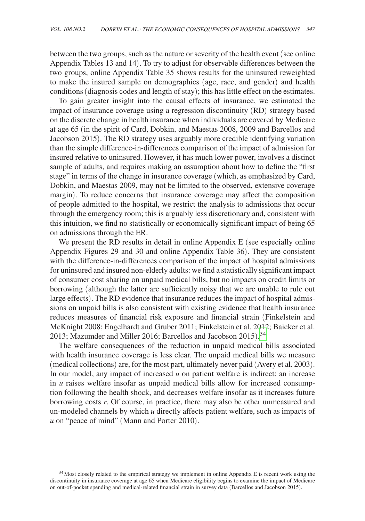between the two groups, such as the nature or severity of the health event (see online Appendix Tables 13 and 14). To try to adjust for observable differences between the two groups, online Appendix Table 35 shows results for the uninsured reweighted to make the insured sample on demographics (age, race, and gender) and health conditions (diagnosis codes and length of stay); this has little effect on the estimates.

To gain greater insight into the causal effects of insurance, we estimated the impact of insurance coverage using a regression discontinuity (RD) strategy based on the discrete change in health insurance when individuals are covered by Medicare at age 65 (in the spirit of Card, Dobkin, and Maestas 2008, 2009 and Barcellos and Jacobson 2015). The RD strategy uses arguably more credible identifying variation than the simple difference-in-differences comparison of the impact of admission for insured relative to uninsured. However, it has much lower power, involves a distinct sample of adults, and requires making an assumption about how to define the "first stage" in terms of the change in insurance coverage (which, as emphasized by Card, Dobkin, and Maestas 2009, may not be limited to the observed, extensive coverage margin). To reduce concerns that insurance coverage may affect the composition of people admitted to the hospital, we restrict the analysis to admissions that occur through the emergency room; this is arguably less discretionary and, consistent with this intuition, we find no statistically or economically significant impact of being 65 on admissions through the ER.

We present the RD results in detail in online Appendix E (see especially online Appendix Figures 29 and 30 and online Appendix Table 36). They are consistent with the difference-in-differences comparison of the impact of hospital admissions for uninsured and insured non-elderly adults: we find a statistically significant impact of consumer cost sharing on unpaid medical bills, but no impacts on credit limits or borrowing (although the latter are sufficiently noisy that we are unable to rule out large effects). The RD evidence that insurance reduces the impact of hospital admissions on unpaid bills is also consistent with existing evidence that health insurance reduces measures of financial risk exposure and financial strain (Finkelstein and McKnight 2008; Engelhardt and Gruber 2011; Finkelstein et al. 2012; Baicker et al. 2013; Mazumder and Miller 2016; Barcellos and Jacobson 2015). [34](#page-39-0)

The welfare consequences of the reduction in unpaid medical bills associated with health insurance coverage is less clear. The unpaid medical bills we measure (medical collections) are, for the most part, ultimately never paid (Avery et al. 2003). In our model, any impact of increased *u* on patient welfare is indirect; an increase in *u* raises welfare insofar as unpaid medical bills allow for increased consumption following the health shock, and decreases welfare insofar as it increases future borrowing costs *r*. Of course, in practice, there may also be other unmeasured and un-modeled channels by which *u* directly affects patient welfare, such as impacts of *u* on "peace of mind" (Mann and Porter 2010).

<span id="page-39-0"></span><sup>&</sup>lt;sup>34</sup> Most closely related to the empirical strategy we implement in online Appendix E is recent work using the discontinuity in insurance coverage at age 65 when Medicare eligibility begins to examine the impact of Medicare on out-of-pocket spending and medical-related financial strain in survey data (Barcellos and Jacobson 2015).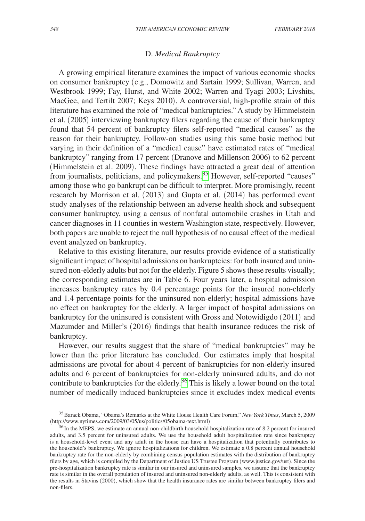## D. *Medical Bankruptcy*

A growing empirical literature examines the impact of various economic shocks on consumer bankruptcy (e.g., Domowitz and Sartain 1999; Sullivan, Warren, and Westbrook 1999; Fay, Hurst, and White 2002; Warren and Tyagi 2003; Livshits, MacGee, and Tertilt 2007; Keys 2010). A controversial, high-profile strain of this literature has examined the role of "medical bankruptcies." A study by Himmelstein et al. (2005) interviewing bankruptcy filers regarding the cause of their bankruptcy found that 54 percent of bankruptcy filers self-reported "medical causes" as the reason for their bankruptcy. Follow-on studies using this same basic method but varying in their definition of a "medical cause" have estimated rates of "medical bankruptcy" ranging from 17 percent (Dranove and Millenson 2006) to 62 percent (Himmelstein et al. 2009). These findings have attracted a great deal of attention from journalists, politicians, and policymakers.<sup>35</sup> However, self-reported "causes" among those who go bankrupt can be difficult to interpret. More promisingly, recent research by Morrison et al. (2013) and Gupta et al. (2014) has performed event study analyses of the relationship between an adverse health shock and subsequent consumer bankruptcy, using a census of nonfatal automobile crashes in Utah and cancer diagnoses in 11 counties in western Washington state, respectively. However, both papers are unable to reject the null hypothesis of no causal effect of the medical event analyzed on bankruptcy.

Relative to this existing literature, our results provide evidence of a statistically significant impact of hospital admissions on bankruptcies: for both insured and uninsured non-elderly adults but not for the elderly. Figure 5 shows these results visually; the corresponding estimates are in Table 6. Four years later, a hospital admission increases bankruptcy rates by 0.4 percentage points for the insured non-elderly and 1.4 percentage points for the uninsured non-elderly; hospital admissions have no effect on bankruptcy for the elderly. A larger impact of hospital admissions on bankruptcy for the uninsured is consistent with Gross and Notowidigdo (2011) and Mazumder and Miller's (2016) findings that health insurance reduces the risk of bankruptcy.

However, our results suggest that the share of "medical bankruptcies" may be lower than the prior literature has concluded. Our estimates imply that hospital admissions are pivotal for about 4 percent of bankruptcies for non-elderly insured adults and 6 percent of bankruptcies for non-elderly uninsured adults, and do not contribute to bankruptcies for the elderly.<sup>36</sup> This is likely a lower bound on the total number of medically induced bankruptcies since it excludes index medical events

<span id="page-40-0"></span><sup>&</sup>lt;sup>35</sup>Barack Obama, "Obama's Remarks at the White House Health Care Forum," *New York Times*, March 5, 2009 (http://www.nytimes.com/2009/03/05/us/politics/05obama-text.html)

<span id="page-40-1"></span><sup>&</sup>lt;sup>36</sup>In the MEPS, we estimate an annual non-childbirth household hospitalization rate of 8.2 percent for insured adults, and 3.5 percent for uninsured adults. We use the household adult hospitalization rate since bankruptcy is a household-level event and any adult in the house can have a hospitalization that potentially contributes to the household's bankruptcy. We ignore hospitalizations for children. We estimate a 0.8 percent annual household bankruptcy rate for the non-elderly by combining census population estimates with the distribution of bankruptcy filers by age, which is compiled by the Department of Justice US Trustee Program (<www.justice.gov/ust>). Since the pre-hospitalization bankruptcy rate is similar in our insured and uninsured samples, we assume that the bankruptcy rate is similar in the overall population of insured and uninsured non-elderly adults, as well. This is consistent with the results in Stavins (2000), which show that the health insurance rates are similar between bankruptcy filers and non-filers.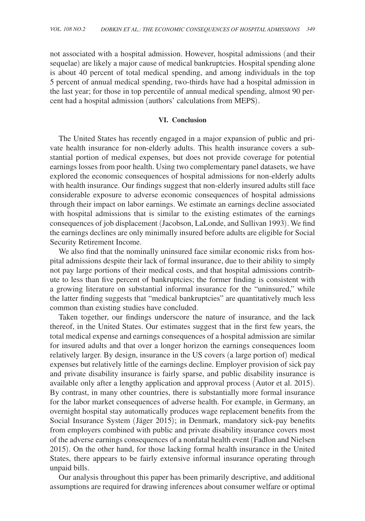not associated with a hospital admission. However, hospital admissions (and their sequelae) are likely a major cause of medical bankruptcies. Hospital spending alone is about 40 percent of total medical spending, and among individuals in the top 5 percent of annual medical spending, two-thirds have had a hospital admission in the last year; for those in top percentile of annual medical spending, almost 90 percent had a hospital admission (authors' calculations from MEPS).

#### **VI. Conclusion**

The United States has recently engaged in a major expansion of public and private health insurance for non-elderly adults. This health insurance covers a substantial portion of medical expenses, but does not provide coverage for potential earnings losses from poor health. Using two complementary panel datasets, we have explored the economic consequences of hospital admissions for non-elderly adults with health insurance. Our findings suggest that non-elderly insured adults still face considerable exposure to adverse economic consequences of hospital admissions through their impact on labor earnings. We estimate an earnings decline associated with hospital admissions that is similar to the existing estimates of the earnings consequences of job displacement (Jacobson, LaLonde, and Sullivan 1993). We find the earnings declines are only minimally insured before adults are eligible for Social Security Retirement Income.

We also find that the nominally uninsured face similar economic risks from hospital admissions despite their lack of formal insurance, due to their ability to simply not pay large portions of their medical costs, and that hospital admissions contribute to less than five percent of bankruptcies; the former finding is consistent with a growing literature on substantial informal insurance for the "uninsured," while the latter finding suggests that "medical bankruptcies" are quantitatively much less common than existing studies have concluded.

Taken together, our findings underscore the nature of insurance, and the lack thereof, in the United States. Our estimates suggest that in the first few years, the total medical expense and earnings consequences of a hospital admission are similar for insured adults and that over a longer horizon the earnings consequences loom relatively larger. By design, insurance in the US covers (a large portion of) medical expenses but relatively little of the earnings decline. Employer provision of sick pay and private disability insurance is fairly sparse, and public disability insurance is available only after a lengthy application and approval process (Autor et al. 2015). By contrast, in many other countries, there is substantially more formal insurance for the labor market consequences of adverse health. For example, in Germany, an overnight hospital stay automatically produces wage replacement benefits from the Social Insurance System (Jäger 2015); in Denmark, mandatory sick-pay benefits from employers combined with public and private disability insurance covers most of the adverse earnings consequences of a nonfatal health event (Fadlon and Nielsen 2015). On the other hand, for those lacking formal health insurance in the United States, there appears to be fairly extensive informal insurance operating through unpaid bills.

Our analysis throughout this paper has been primarily descriptive, and additional assumptions are required for drawing inferences about consumer welfare or optimal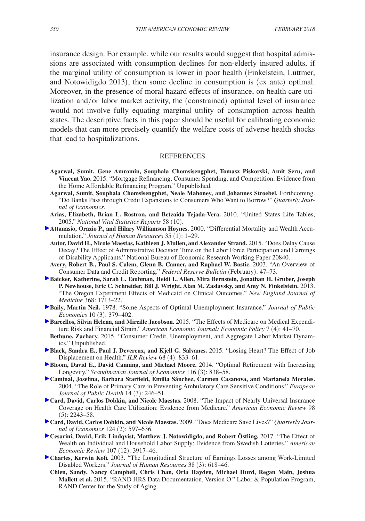insurance design. For example, while our results would suggest that hospital admissions are associated with consumption declines for non-elderly insured adults, if the marginal utility of consumption is lower in poor health (Finkelstein, Luttmer, and Notowidigdo 2013), then some decline in consumption is (ex ante) optimal. Moreover, in the presence of moral hazard effects of insurance, on health care utilization and/or labor market activity, the (constrained) optimal level of insurance would not involve fully equating marginal utility of consumption across health states. The descriptive facts in this paper should be useful for calibrating economic models that can more precisely quantify the welfare costs of adverse health shocks that lead to hospitalizations.

## **REFERENCES**

- **Agarwal, Sumit, Gene Amromin, Souphala Chomsisengphet, Tomasz Piskorski, Amit Seru, and Vincent Yao.** 2015. "Mortgage Refinancing, Consumer Spending, and Competition: Evidence from the Home Affordable Refinancing Program." Unpublished.
- **Agarwal, Sumit, Souphala Chomsisengphet, Neale Mahoney, and Johannes Stroebel.** Forthcoming. "Do Banks Pass through Credit Expansions to Consumers Who Want to Borrow?" *Quarterly Journal of Economics*.
- **Arias, Elizabeth, Brian L. Rostron, and Betzaida Tejada-Vera.** 2010. "United States Life Tables, 2005." *National Vital Statistics Reports* 58 (10).
- **Attanasio, Orazio P., and Hilary Williamson Hoynes.** 2000. "Differential Mortality and Wealth Accumulation." *Journal of Human Resources* 35 (1): 1–29.
	- **Autor, David H., Nicole Maestas, Kathleen J. Mullen, and Alexander Strand.** 2015. "Does Delay Cause Decay? The Effect of Administrative Decision Time on the Labor Force Participation and Earnings of Disability Applicants." National Bureau of Economic Research Working Paper 20840.
	- **Avery, Robert B., Paul S. Calem, Glenn B. Canner, and Raphael W. Bostic.** 2003. "An Overview of Consumer Data and Credit Reporting." *Federal Reserve Bulletin* (February): 47–73.
- **Baicker, Katherine, Sarah L. Taubman, Heidi L. Allen, Mira Bernstein, Jonathan H. Gruber, Joseph P. Newhouse, Eric C. Schneider, Bill J. Wright, Alan M. Zaslavsky, and Amy N. Finkelstein.** 2013. "The Oregon Experiment Effects of Medicaid on Clinical Outcomes." *New England Journal of Medicine* 368: 1713–22.
- **Baily, Martin Neil.** 1978. "Some Aspects of Optimal Unemployment Insurance." *Journal of Public Economics* 10 (3): 379–402.
- **Barcellos, Silvia Helena, and Mireille Jacobson.** 2015. "The Effects of Medicare on Medical Expenditure Risk and Financial Strain." *American Economic Journal: Economic Policy* 7 (4): 41–70.
- **Bethune, Zachary.** 2015. "Consumer Credit, Unemployment, and Aggregate Labor Market Dynamics." Unpublished.
- **Black, Sandra E., Paul J. Devereux, and Kjell G. Salvanes.** 2015. "Losing Heart? The Effect of Job Displacement on Health." *ILR Review* 68 (4): 833–61.
- **Bloom, David E., David Canning, and Michael Moore.** 2014. "Optimal Retirement with Increasing Longevity." *Scandinavian Journal of Economics* 116 (3): 838–58.
- **Caminal, Josefina, Barbara Starfield, Emilia Sánchez, Carmen Casanova, and Marianela Morales.**  2004. "The Role of Primary Care in Preventing Ambulatory Care Sensitive Conditions." *European Journal of Public Health* 14 (3): 246–51.
- **Card, David, Carlos Dobkin, and Nicole Maestas.** 2008. "The Impact of Nearly Universal Insurance Coverage on Health Care Utilization: Evidence from Medicare." *American Economic Review* 98  $(5): 2243 - 58.$
- **Card, David, Carlos Dobkin, and Nicole Maestas.** 2009. "Does Medicare Save Lives?" *Quarterly Journal of Economics* 124 (2): 597–636.
- **Cesarini, David, Erik Lindqvist, Matthew J. Notowidigdo, and Robert Östling.** 2017. "The Effect of Wealth on Individual and Household Labor Supply: Evidence from Swedish Lotteries." *American Economic Review* 107 (12): 3917–46.
- **Charles, Kerwin Kofi.** 2003. "The Longitudinal Structure of Earnings Losses among Work-Limited Disabled Workers." *Journal of Human Resources* 38 (3): 618–46.
	- **Chien, Sandy, Nancy Campbell, Chris Chan, Orla Hayden, Michael Hurd, Regan Main, Joshua Mallett et al.** 2015. "RAND HRS Data Documentation, Version O." Labor & Population Program, RAND Center for the Study of Aging.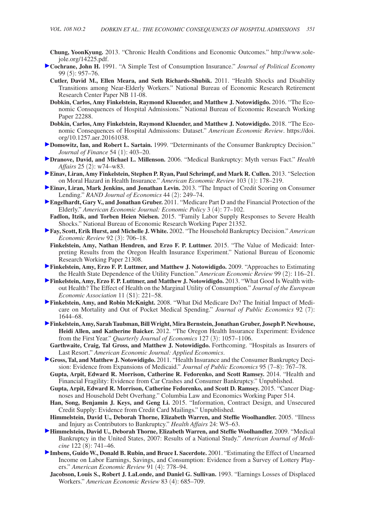- **Chung, YoonKyung.** 2013. "Chronic Health Conditions and Economic Outcomes." [http://www.sole](http://www.sole-jole.org/14225.pdf)[jole.org/14225.pdf.](http://www.sole-jole.org/14225.pdf)
- **Cochrane, John H.** 1991. "A Simple Test of Consumption Insurance." *Journal of Political Economy* 99 (5): 957–76.
	- **Cutler, David M., Ellen Meara, and Seth Richards-Shubik.** 2011. "Health Shocks and Disability Transitions among Near-Elderly Workers." National Bureau of Economic Research Retirement Research Center Paper NB 11-08.
	- **Dobkin, Carlos, Amy Finkelstein, Raymond Kluender, and Matthew J. Notowidigdo.** 2016. "The Economic Consequences of Hospital Admissions." National Bureau of Economic Research Working Paper 22288.
	- **Dobkin, Carlos, Amy Finkelstein, Raymond Kluender, and Matthew J. Notowidigdo.** 2018. "The Economic Consequences of Hospital Admissions: Dataset." *American Economic Review*. [https://doi.](https://doi.org/10.1257.aer.20161038) [org/10.1257.aer.20161038](https://doi.org/10.1257.aer.20161038).
- **Domowitz, Ian, and Robert L. Sartain.** 1999. "Determinants of the Consumer Bankruptcy Decision." *Journal of Finance* 54 (1): 403–20.
- **Dranove, David, and Michael L. Millenson.** 2006. "Medical Bankruptcy: Myth versus Fact." *Health Affairs* 25 (2): w74–w83.
- **Einav, Liran, Amy Finkelstein, Stephen P. Ryan, Paul Schrimpf, and Mark R. Cullen.** 2013. "Selection on Moral Hazard in Health Insurance." *American Economic Review* 103 (1): 178–219.
- **Einav, Liran, Mark Jenkins, and Jonathan Levin.** 2013. "The Impact of Credit Scoring on Consumer Lending." *RAND Journal of Economics* 44 (2): 249–74.
- **Engelhardt, Gary V., and Jonathan Gruber.** 2011. "Medicare Part D and the Financial Protection of the Elderly." *American Economic Journal: Economic Policy* 3 (4): 77–102.
- **Fadlon, Itzik, and Torben Heien Nielsen.** 2015. "Family Labor Supply Responses to Severe Health Shocks." National Bureau of Economic Research Working Paper 21352.
- **Fay, Scott, Erik Hurst, and Michelle J. White.** 2002. "The Household Bankruptcy Decision." *American Economic Review* 92 (3): 706–18.
- **Finkelstein, Amy, Nathan Hendren, and Erzo F. P. Luttmer.** 2015. "The Value of Medicaid: Interpreting Results from the Oregon Health Insurance Experiment." National Bureau of Economic Research Working Paper 21308.
- **Finkelstein, Amy, Erzo F. P. Luttmer, and Matthew J. Notowidigdo.** 2009. "Approaches to Estimating the Health State Dependence of the Utility Function." *American Economic Review* 99 (2): 116–21.
- **Finkelstein, Amy, Erzo F. P. Luttmer, and Matthew J. Notowidigdo.** 2013. "What Good Is Wealth without Health? The Effect of Health on the Marginal Utility of Consumption." *Journal of the European Economic Association* 11 (S1): 221–58.
- **Finkelstein, Amy, and Robin McKnight.** 2008. "What Did Medicare Do? The Initial Impact of Medicare on Mortality and Out of Pocket Medical Spending." *Journal of Public Economics* 92 (7): 1644–68.
- **Finkelstein, Amy, Sarah Taubman, Bill Wright, Mira Bernstein, Jonathan Gruber, Joseph P. Newhouse, Heidi Allen, and Katherine Baicker.** 2012. "The Oregon Health Insurance Experiment: Evidence from the First Year." *Quarterly Journal of Economics* 127 (3): 1057–1106.
- **Garthwaite, Craig, Tal Gross, and Matthew J. Notowidigdo.** Forthcoming. "Hospitals as Insurers of Last Resort." *American Economic Journal: Applied Economics*.
- **Gross, Tal, and Matthew J. Notowidigdo.** 2011. "Health Insurance and the Consumer Bankruptcy Decision: Evidence from Expansions of Medicaid." *Journal of Public Economics* 95 (7–8): 767–78.
	- **Gupta, Arpit, Edward R. Morrison, Catherine R. Fedorenko, and Scott Ramsey.** 2014. "Health and Financial Fragility: Evidence from Car Crashes and Consumer Bankruptcy." Unpublished.
	- **Gupta, Arpit, Edward R. Morrison, Catherine Fedorenko, and Scott D. Ramsey.** 2015. "Cancer Diagnoses and Household Debt Overhang." Columbia Law and Economics Working Paper 514.
	- **Han, Song, Benjamin J. Keys, and Geng Li.** 2015. "Information, Contract Design, and Unsecured Credit Supply: Evidence from Credit Card Mailings." Unpublished.
	- **Himmelstein, David U., Deborah Thorne, Elizabeth Warren, and Steffie Woolhandler.** 2005. "Illness and Injury as Contributors to Bankruptcy." *Health Affairs* 24: W5–63.
- **Himmelstein, David U., Deborah Thorne, Elizabeth Warren, and Steffie Woolhandler.** 2009. "Medical Bankruptcy in the United States, 2007: Results of a National Study." *American Journal of Medicine* 122 (8): 741–46.
- **Imbens, Guido W., Donald B. Rubin, and Bruce I. Sacerdote.** 2001. "Estimating the Effect of Unearned Income on Labor Earnings, Savings, and Consumption: Evidence from a Survey of Lottery Players." *American Economic Review* 91 (4): 778–94.
	- **Jacobson, Louis S., Robert J. LaLonde, and Daniel G. Sullivan.** 1993. "Earnings Losses of Displaced Workers." *American Economic Review* 83 (4): 685–709.